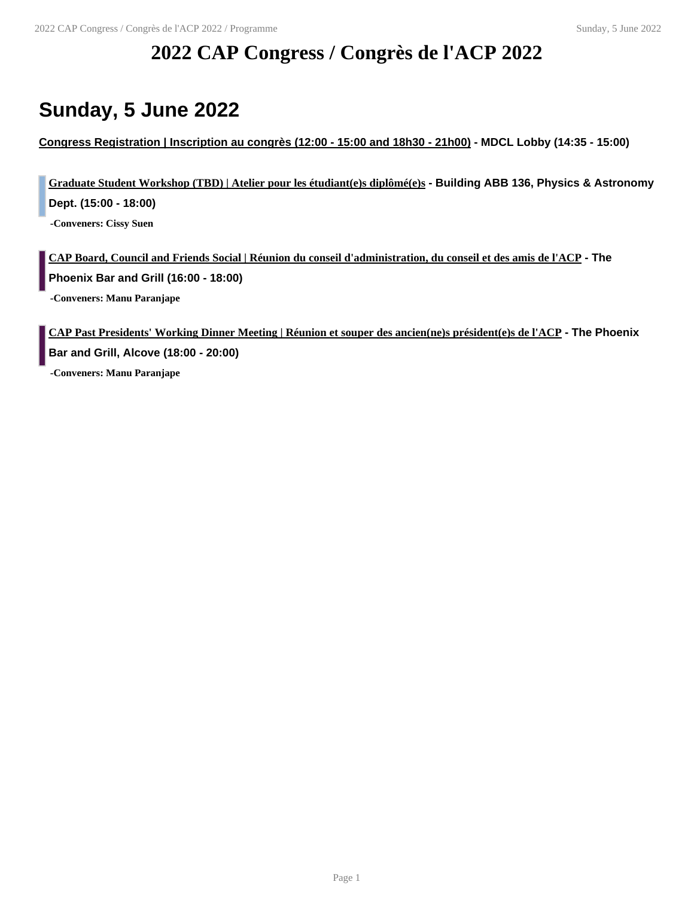# **2022 CAP Congress / Congrès de l'ACP 2022**

# **Sunday, 5 June 2022**

**Congress Registration | Inscription au congrès (12:00 - 15:00 and 18h30 - 21h00) - MDCL Lobby (14:35 - 15:00)**

**Graduate Student Workshop (TBD) | Atelier pour les étudiant(e)s diplômé(e)s - Building ABB 136, Physics & Astronomy Dept. (15:00 - 18:00) -Conveners: Cissy Suen**

**CAP Board, Council and Friends Social | Réunion du conseil d'administration, du conseil et des amis de l'ACP - The Phoenix Bar and Grill (16:00 - 18:00)**

**-Conveners: Manu Paranjape**

**CAP Past Presidents' Working Dinner Meeting | Réunion et souper des ancien(ne)s président(e)s de l'ACP - The Phoenix Bar and Grill, Alcove (18:00 - 20:00) -Conveners: Manu Paranjape**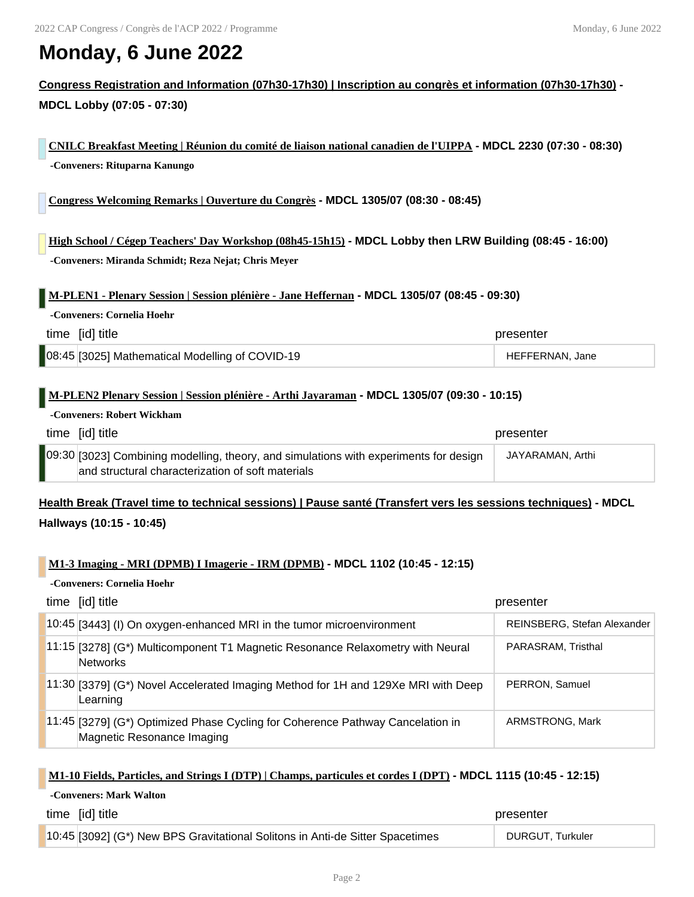# **Monday, 6 June 2022**

**Congress Registration and Information (07h30-17h30) | Inscription au congrès et information (07h30-17h30) - MDCL Lobby (07:05 - 07:30)**

**CNILC Breakfast Meeting | Réunion du comité de liaison national canadien de l'UIPPA - MDCL 2230 (07:30 - 08:30) -Conveners: Rituparna Kanungo**

**Congress Welcoming Remarks | Ouverture du Congrès - MDCL 1305/07 (08:30 - 08:45)**

**High School / Cégep Teachers' Day Workshop (08h45-15h15) - MDCL Lobby then LRW Building (08:45 - 16:00) -Conveners: Miranda Schmidt; Reza Nejat; Chris Meyer**

**M-PLEN1 - Plenary Session | Session plénière - Jane Heffernan - MDCL 1305/07 (08:45 - 09:30)**

| time [id] title                                 | presenter       |
|-------------------------------------------------|-----------------|
| 08:45 [3025] Mathematical Modelling of COVID-19 | HEFFERNAN, Jane |

### **M-PLEN2 Plenary Session | Session plénière - Arthi Jayaraman - MDCL 1305/07 (09:30 - 10:15)**

### **-Conveners: Robert Wickham**

**-Conveners: Cornelia Hoehr**

| time [id] title                                                                                                                            | presenter        |
|--------------------------------------------------------------------------------------------------------------------------------------------|------------------|
| 09:30 [3023] Combining modelling, theory, and simulations with experiments for design<br>and structural characterization of soft materials | JAYARAMAN, Arthi |

## **Health Break (Travel time to technical sessions) | Pause santé (Transfert vers les sessions techniques) - MDCL Hallways (10:15 - 10:45)**

### **M1-3 Imaging - MRI (DPMB) I Imagerie - IRM (DPMB) - MDCL 1102 (10:45 - 12:15)**

### **-Conveners: Cornelia Hoehr**

**-Conveners: Mark Walton**

| time [id] title                                                                                              | presenter                   |
|--------------------------------------------------------------------------------------------------------------|-----------------------------|
| 10:45 [3443] (I) On oxygen-enhanced MRI in the tumor microenvironment                                        | REINSBERG, Stefan Alexander |
| 11:15 [3278] (G*) Multicomponent T1 Magnetic Resonance Relaxometry with Neural<br>Networks                   | PARASRAM, Tristhal          |
| 11:30 [3379] (G*) Novel Accelerated Imaging Method for 1H and 129Xe MRI with Deep<br>Learning                | PERRON, Samuel              |
| 11:45 [3279] (G*) Optimized Phase Cycling for Coherence Pathway Cancelation in<br>Magnetic Resonance Imaging | ARMSTRONG, Mark             |

### **M1-10 Fields, Particles, and Strings I (DTP) | Champs, particules et cordes I (DPT) - MDCL 1115 (10:45 - 12:15)**

| time [id] title                                                               | presenter        |
|-------------------------------------------------------------------------------|------------------|
| 10:45 [3092] (G*) New BPS Gravitational Solitons in Anti-de Sitter Spacetimes | DURGUT, Turkuler |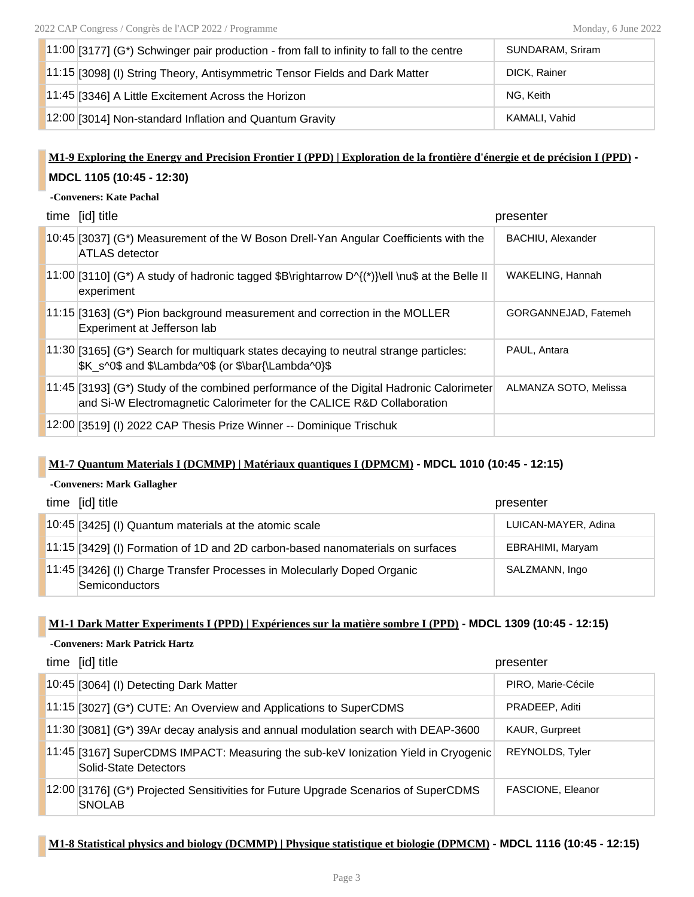| $11:00$ [3177] (G*) Schwinger pair production - from fall to infinity to fall to the centre | SUNDARAM, Sriram |
|---------------------------------------------------------------------------------------------|------------------|
| 11:15 [3098] (I) String Theory, Antisymmetric Tensor Fields and Dark Matter                 | DICK, Rainer     |
| 11:45 [3346] A Little Excitement Across the Horizon                                         | NG. Keith        |
| 12:00 [3014] Non-standard Inflation and Quantum Gravity                                     | KAMALI, Vahid    |

## **M1-9 Exploring the Energy and Precision Frontier I (PPD) | Exploration de la frontière d'énergie et de précision I (PPD) - MDCL 1105 (10:45 - 12:30)**

### **-Conveners: Kate Pachal**

| time [id] title                                                                                                                                                      | presenter             |
|----------------------------------------------------------------------------------------------------------------------------------------------------------------------|-----------------------|
| 10:45 [3037] (G*) Measurement of the W Boson Drell-Yan Angular Coefficients with the<br><b>ATLAS detector</b>                                                        | BACHIU, Alexander     |
| $11:00$ [3110] (G*) A study of hadronic tagged \$B\rightarrow D^{(*)}\ell \nu\$ at the Belle II<br>experiment                                                        | WAKELING, Hannah      |
| $11.15$ [3163] (G*) Pion background measurement and correction in the MOLLER<br>Experiment at Jefferson lab                                                          | GORGANNEJAD, Fatemeh  |
| $11:30$ [3165] (G*) Search for multiquark states decaying to neutral strange particles:<br>\$K s^0\$ and \$\Lambda^0\$ (or \$\bar{\Lambda^0}\$                       | PAUL, Antara          |
| $[11.45]$ [3193] (G*) Study of the combined performance of the Digital Hadronic Calorimeter<br>and Si-W Electromagnetic Calorimeter for the CALICE R&D Collaboration | ALMANZA SOTO, Melissa |
| 12:00 [3519] (I) 2022 CAP Thesis Prize Winner -- Dominique Trischuk                                                                                                  |                       |

### **M1-7 Quantum Materials I (DCMMP) | Matériaux quantiques I (DPMCM) - MDCL 1010 (10:45 - 12:15)**

#### **-Conveners: Mark Gallagher**

| time [id] title                                                                           | presenter           |
|-------------------------------------------------------------------------------------------|---------------------|
| 10:45 [3425] (I) Quantum materials at the atomic scale                                    | LUICAN-MAYER, Adina |
| 11:15 [3429] (I) Formation of 1D and 2D carbon-based nanomaterials on surfaces            | EBRAHIMI, Maryam    |
| 11:45 [3426] (I) Charge Transfer Processes in Molecularly Doped Organic<br>Semiconductors | SALZMANN, Ingo      |

### **M1-1 Dark Matter Experiments I (PPD) | Expériences sur la matière sombre I (PPD) - MDCL 1309 (10:45 - 12:15)**

#### **-Conveners: Mark Patrick Hartz**

| time [id] title                                                                                             | presenter          |
|-------------------------------------------------------------------------------------------------------------|--------------------|
| 10:45 [3064] (I) Detecting Dark Matter                                                                      | PIRO, Marie-Cécile |
| 11:15 [3027] (G*) CUTE: An Overview and Applications to SuperCDMS                                           | PRADEEP, Aditi     |
| 11:30 [3081] (G*) 39Ar decay analysis and annual modulation search with DEAP-3600                           | KAUR, Gurpreet     |
| 11:45 [3167] SuperCDMS IMPACT: Measuring the sub-keV Ionization Yield in Cryogenic<br>Solid-State Detectors | REYNOLDS, Tyler    |
| 12:00 [3176] (G*) Projected Sensitivities for Future Upgrade Scenarios of SuperCDMS<br><b>SNOLAB</b>        | FASCIONE, Eleanor  |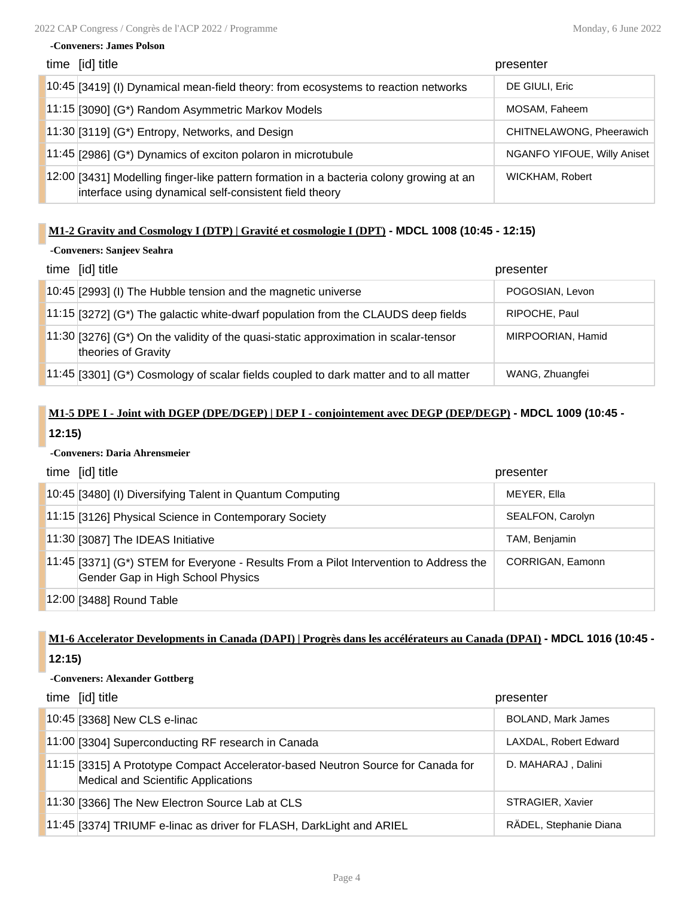#### **-Conveners: James Polson**

| time [id] title                                                                                                                                   | presenter                   |
|---------------------------------------------------------------------------------------------------------------------------------------------------|-----------------------------|
| 10:45 [3419] (I) Dynamical mean-field theory: from ecosystems to reaction networks                                                                | DE GIULI, Eric              |
| 11:15 [3090] (G*) Random Asymmetric Markov Models                                                                                                 | MOSAM, Faheem               |
| $11:30$ [3119] (G*) Entropy, Networks, and Design                                                                                                 | CHITNELAWONG, Pheerawich    |
| 11:45 [2986] (G*) Dynamics of exciton polaron in microtubule                                                                                      | NGANFO YIFOUE, Willy Aniset |
| 12:00 [3431] Modelling finger-like pattern formation in a bacteria colony growing at an<br>interface using dynamical self-consistent field theory | WICKHAM, Robert             |

### **M1-2 Gravity and Cosmology I (DTP) | Gravité et cosmologie I (DPT) - MDCL 1008 (10:45 - 12:15)**

### **-Conveners: Sanjeev Seahra**

| time [id] title                                                                                               | presenter         |
|---------------------------------------------------------------------------------------------------------------|-------------------|
| 10:45 [2993] (I) The Hubble tension and the magnetic universe                                                 | POGOSIAN, Levon   |
| $11:15$ [3272] (G*) The galactic white-dwarf population from the CLAUDS deep fields                           | RIPOCHE, Paul     |
| $11:30$ [3276] (G*) On the validity of the quasi-static approximation in scalar-tensor<br>theories of Gravity | MIRPOORIAN, Hamid |
| 11:45 [3301] (G*) Cosmology of scalar fields coupled to dark matter and to all matter                         | WANG, Zhuangfei   |

## **M1-5 DPE I - Joint with DGEP (DPE/DGEP) | DEP I - conjointement avec DEGP (DEP/DEGP) - MDCL 1009 (10:45 - 12:15)**

### **-Conveners: Daria Ahrensmeier**

| time [id] title                                                                                                             | presenter        |
|-----------------------------------------------------------------------------------------------------------------------------|------------------|
| 10:45 [3480] (I) Diversifying Talent in Quantum Computing                                                                   | MEYER, Ella      |
| 11:15 [3126] Physical Science in Contemporary Society                                                                       | SEALFON, Carolyn |
| 11:30 [3087] The IDEAS Initiative                                                                                           | TAM, Benjamin    |
| 11:45 [3371] (G*) STEM for Everyone - Results From a Pilot Intervention to Address the<br>Gender Gap in High School Physics | CORRIGAN, Eamonn |
| 12:00 [3488] Round Table                                                                                                    |                  |

## **M1-6 Accelerator Developments in Canada (DAPI) | Progrès dans les accélérateurs au Canada (DPAI) - MDCL 1016 (10:45 - 12:15)**

### **-Conveners: Alexander Gottberg**

| time [id] title                                                                                                                | presenter                 |
|--------------------------------------------------------------------------------------------------------------------------------|---------------------------|
| 10:45 [3368] New CLS e-linac                                                                                                   | <b>BOLAND, Mark James</b> |
| 11:00 [3304] Superconducting RF research in Canada                                                                             | LAXDAL, Robert Edward     |
| 11:15 [3315] A Prototype Compact Accelerator-based Neutron Source for Canada for<br><b>Medical and Scientific Applications</b> | D. MAHARAJ, Dalini        |
| 11:30 [3366] The New Electron Source Lab at CLS                                                                                | STRAGIER, Xavier          |
| 11:45 [3374] TRIUMF e-linac as driver for FLASH, DarkLight and ARIEL                                                           | RÄDEL, Stephanie Diana    |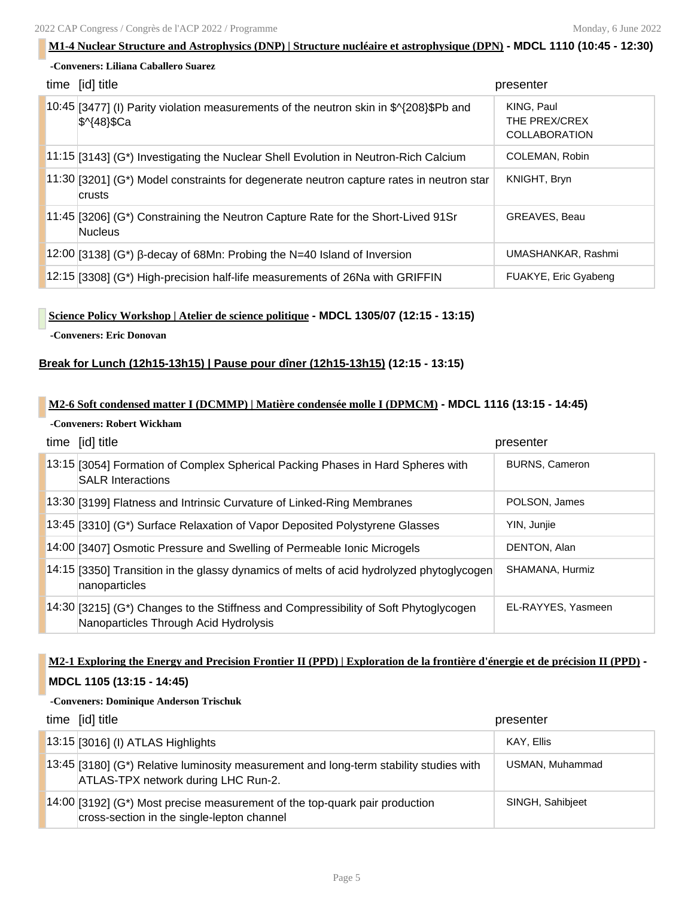| -Conveners: Liliana Caballero Suarez                                                                                                                                      |  |
|---------------------------------------------------------------------------------------------------------------------------------------------------------------------------|--|
|                                                                                                                                                                           |  |
| time [id] title<br>presenter                                                                                                                                              |  |
| $10:45$ [3477] (I) Parity violation measurements of the neutron skin in \$ $\frac{4}{208}$ \$Pb and<br>KING, Paul<br>THE PREX/CREX<br>\$^{48}\$Ca<br><b>COLLABORATION</b> |  |
| COLEMAN, Robin<br>$11.15$ [3143] (G*) Investigating the Nuclear Shell Evolution in Neutron-Rich Calcium                                                                   |  |
| KNIGHT, Bryn<br>$11:30$ [3201] (G*) Model constraints for degenerate neutron capture rates in neutron star<br>crusts                                                      |  |
| <b>GREAVES, Beau</b><br>$11:45$ [3206] (G*) Constraining the Neutron Capture Rate for the Short-Lived 91Sr<br><b>Nucleus</b>                                              |  |
| $12:00$ [3138] (G*) β-decay of 68Mn: Probing the N=40 Island of Inversion<br>UMASHANKAR, Rashmi                                                                           |  |
| $12:15$ [3308] (G*) High-precision half-life measurements of 26Na with GRIFFIN<br>FUAKYE, Eric Gyabeng                                                                    |  |

### **Science Policy Workshop | Atelier de science politique - MDCL 1305/07 (12:15 - 13:15)**

**-Conveners: Eric Donovan**

### **Break for Lunch (12h15-13h15) | Pause pour dîner (12h15-13h15) (12:15 - 13:15)**

### **M2-6 Soft condensed matter I (DCMMP) | Matière condensée molle I (DPMCM) - MDCL 1116 (13:15 - 14:45)**

### **-Conveners: Robert Wickham**

| time [id] title                                                                                                               | presenter             |
|-------------------------------------------------------------------------------------------------------------------------------|-----------------------|
| 13:15 [3054] Formation of Complex Spherical Packing Phases in Hard Spheres with<br><b>SALR Interactions</b>                   | <b>BURNS, Cameron</b> |
| 13:30 [3199] Flatness and Intrinsic Curvature of Linked-Ring Membranes                                                        | POLSON, James         |
| 13:45 [3310] (G*) Surface Relaxation of Vapor Deposited Polystyrene Glasses                                                   | YIN, Junjie           |
| 14:00 [3407] Osmotic Pressure and Swelling of Permeable Ionic Microgels                                                       | DENTON, Alan          |
| [14:15] [3350] Transition in the glassy dynamics of melts of acid hydrolyzed phytoglycogen<br>nanoparticles                   | SHAMANA, Hurmiz       |
| 14:30 [3215] (G*) Changes to the Stiffness and Compressibility of Soft Phytoglycogen<br>Nanoparticles Through Acid Hydrolysis | EL-RAYYES, Yasmeen    |

## **M2-1 Exploring the Energy and Precision Frontier II (PPD) | Exploration de la frontière d'énergie et de précision II (PPD) - MDCL 1105 (13:15 - 14:45)**

### **-Conveners: Dominique Anderson Trischuk**

| time [id] title                                                                                                                   | presenter        |
|-----------------------------------------------------------------------------------------------------------------------------------|------------------|
| 13:15 [3016] (I) ATLAS Highlights                                                                                                 | KAY, Ellis       |
| $13:45$ [3180] (G*) Relative luminosity measurement and long-term stability studies with<br>ATLAS-TPX network during LHC Run-2.   | USMAN, Muhammad  |
| $\vert$ 14:00 [3192] (G*) Most precise measurement of the top-quark pair production<br>cross-section in the single-lepton channel | SINGH, Sahibjeet |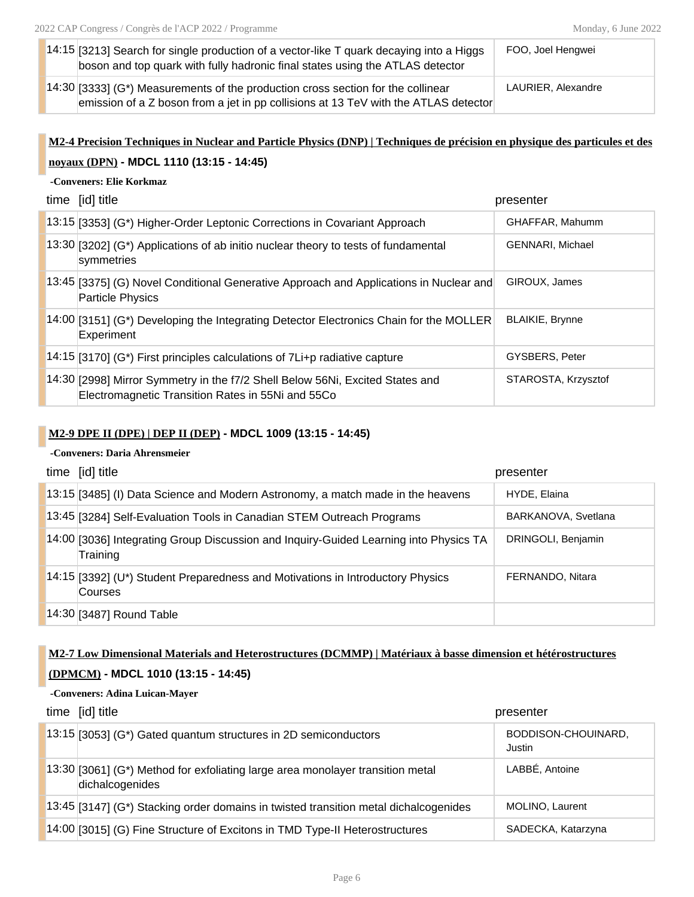| 14:15 [3213] Search for single production of a vector-like $T$ quark decaying into a Higgs<br>boson and top quark with fully hadronic final states using the ATLAS detector     | FOO, Joel Hengwei  |
|---------------------------------------------------------------------------------------------------------------------------------------------------------------------------------|--------------------|
| $\vert$ 14:30 [3333] (G*) Measurements of the production cross section for the collinear<br>emission of a Z boson from a jet in pp collisions at 13 TeV with the ATLAS detector | LAURIER, Alexandre |

# **M2-4 Precision Techniques in Nuclear and Particle Physics (DNP) | Techniques de précision en physique des particules et des noyaux (DPN) - MDCL 1110 (13:15 - 14:45)**

### **-Conveners: Elie Korkmaz**

| time [id] title                                                                                                                    | presenter               |
|------------------------------------------------------------------------------------------------------------------------------------|-------------------------|
| 13:15 [3353] (G*) Higher-Order Leptonic Corrections in Covariant Approach                                                          | GHAFFAR, Mahumm         |
| $13:30$ [3202] (G*) Applications of ab initio nuclear theory to tests of fundamental<br>symmetries                                 | <b>GENNARI, Michael</b> |
| [13:45 [3375] (G) Novel Conditional Generative Approach and Applications in Nuclear and<br><b>Particle Physics</b>                 | GIROUX, James           |
| 14:00 [3151] (G*) Developing the Integrating Detector Electronics Chain for the MOLLER<br>Experiment                               | <b>BLAIKIE, Brynne</b>  |
| $\vert$ 14:15 $\vert$ [3170] (G*) First principles calculations of 7Li+p radiative capture                                         | GYSBERS, Peter          |
| 14:30 [2998] Mirror Symmetry in the f7/2 Shell Below 56Ni, Excited States and<br>Electromagnetic Transition Rates in 55Ni and 55Co | STAROSTA, Krzysztof     |

### **M2-9 DPE II (DPE) | DEP II (DEP) - MDCL 1009 (13:15 - 14:45)**

### **-Conveners: Daria Ahrensmeier**

| time [id] title                                                                                   | presenter           |
|---------------------------------------------------------------------------------------------------|---------------------|
| 13:15 [3485] (I) Data Science and Modern Astronomy, a match made in the heavens                   | HYDE, Elaina        |
| 13:45 [3284] Self-Evaluation Tools in Canadian STEM Outreach Programs                             | BARKANOVA, Svetlana |
| 14:00 [3036] Integrating Group Discussion and Inquiry-Guided Learning into Physics TA<br>Training | DRINGOLI, Benjamin  |
| $14:15$ [3392] (U*) Student Preparedness and Motivations in Introductory Physics<br>Courses       | FERNANDO, Nitara    |
| 14:30 [3487] Round Table                                                                          |                     |

## **M2-7 Low Dimensional Materials and Heterostructures (DCMMP) | Matériaux à basse dimension et hétérostructures (DPMCM) - MDCL 1010 (13:15 - 14:45)**

### **-Conveners: Adina Luican-Mayer**

| time [id] title                                                                                   | presenter                     |
|---------------------------------------------------------------------------------------------------|-------------------------------|
| $\vert$ 13:15 [3053] (G*) Gated quantum structures in 2D semiconductors                           | BODDISON-CHOUINARD,<br>Justin |
| 13:30 [3061] (G*) Method for exfoliating large area monolayer transition metal<br>dichalcogenides | LABBÉ, Antoine                |
| 13:45 [3147] (G*) Stacking order domains in twisted transition metal dichalcogenides              | MOLINO, Laurent               |
| 14:00 [3015] (G) Fine Structure of Excitons in TMD Type-II Heterostructures                       | SADECKA, Katarzyna            |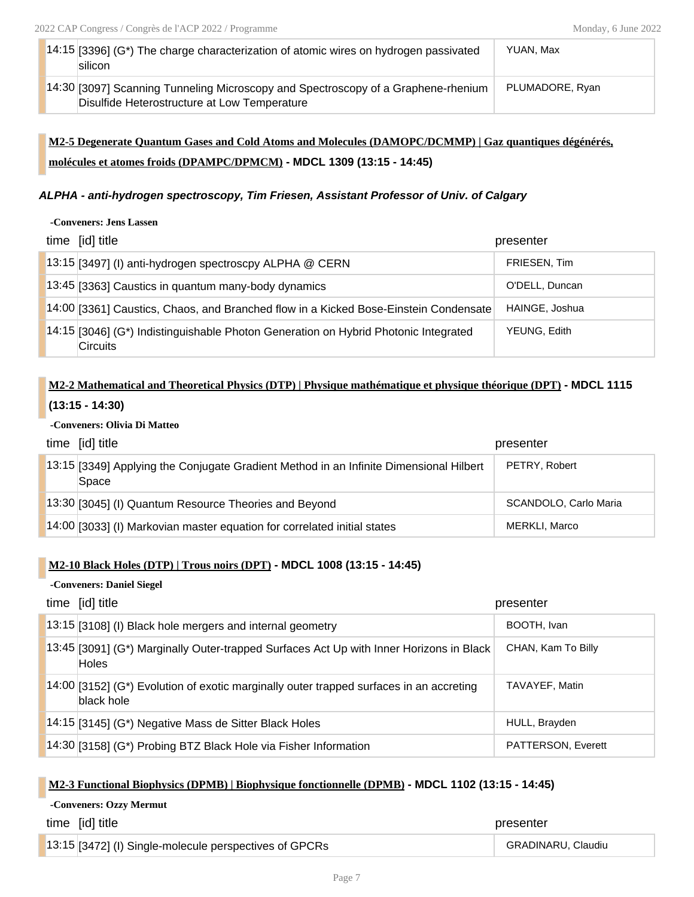| $14:15$ [3396] (G*) The charge characterization of atomic wires on hydrogen passivated<br>silicon | YUAN, Max       |
|---------------------------------------------------------------------------------------------------|-----------------|
| 14:30 [3097] Scanning Tunneling Microscopy and Spectroscopy of a Graphene-rhenium                 | PLUMADORE, Ryan |
| Disulfide Heterostructure at Low Temperature                                                      |                 |

## **M2-5 Degenerate Quantum Gases and Cold Atoms and Molecules (DAMOPC/DCMMP) | Gaz quantiques dégénérés, molécules et atomes froids (DPAMPC/DPMCM) - MDCL 1309 (13:15 - 14:45)**

### *ALPHA - anti-hydrogen spectroscopy, Tim Friesen, Assistant Professor of Univ. of Calgary*

**-Conveners: Jens Lassen**

| time [id] title                                                                                          | presenter      |
|----------------------------------------------------------------------------------------------------------|----------------|
| 13:15 [3497] (I) anti-hydrogen spectroscpy ALPHA @ CERN                                                  | FRIESEN, Tim   |
| 13:45 [3363] Caustics in quantum many-body dynamics                                                      | O'DELL, Duncan |
| 14:00 [3361] Caustics, Chaos, and Branched flow in a Kicked Bose-Einstein Condensate                     | HAINGE, Joshua |
| $14:15$ [3046] (G*) Indistinguishable Photon Generation on Hybrid Photonic Integrated<br><b>Circuits</b> | YEUNG, Edith   |

## **M2-2 Mathematical and Theoretical Physics (DTP) | Physique mathématique et physique théorique (DPT) - MDCL 1115 (13:15 - 14:30)**

### **-Conveners: Olivia Di Matteo**

| time [id] title                                                                                 | presenter             |
|-------------------------------------------------------------------------------------------------|-----------------------|
| 13:15 [3349] Applying the Conjugate Gradient Method in an Infinite Dimensional Hilbert<br>Space | PETRY, Robert         |
| 13:30 [3045] (I) Quantum Resource Theories and Beyond                                           | SCANDOLO, Carlo Maria |
| 14:00 [3033] (I) Markovian master equation for correlated initial states                        | MERKLI, Marco         |

### **M2-10 Black Holes (DTP) | Trous noirs (DPT) - MDCL 1008 (13:15 - 14:45)**

### **-Conveners: Daniel Siegel**

| time [id] title                                                                                         | presenter          |
|---------------------------------------------------------------------------------------------------------|--------------------|
| 13:15 [3108] (I) Black hole mergers and internal geometry                                               | BOOTH, Ivan        |
| 13:45 [3091] (G*) Marginally Outer-trapped Surfaces Act Up with Inner Horizons in Black<br><b>Holes</b> | CHAN, Kam To Billy |
| 14:00 [3152] (G*) Evolution of exotic marginally outer trapped surfaces in an accreting<br>black hole   | TAVAYEF, Matin     |
| $14:15$ [3145] (G*) Negative Mass de Sitter Black Holes                                                 | HULL, Brayden      |
| 14:30 [3158] (G*) Probing BTZ Black Hole via Fisher Information                                         | PATTERSON, Everett |

### **M2-3 Functional Biophysics (DPMB) | Biophysique fonctionnelle (DPMB) - MDCL 1102 (13:15 - 14:45)**

### **-Conveners: Ozzy Mermut**

| time [id] title                                        | presenter          |
|--------------------------------------------------------|--------------------|
| 13:15 [3472] (I) Single-molecule perspectives of GPCRs | GRADINARU, Claudiu |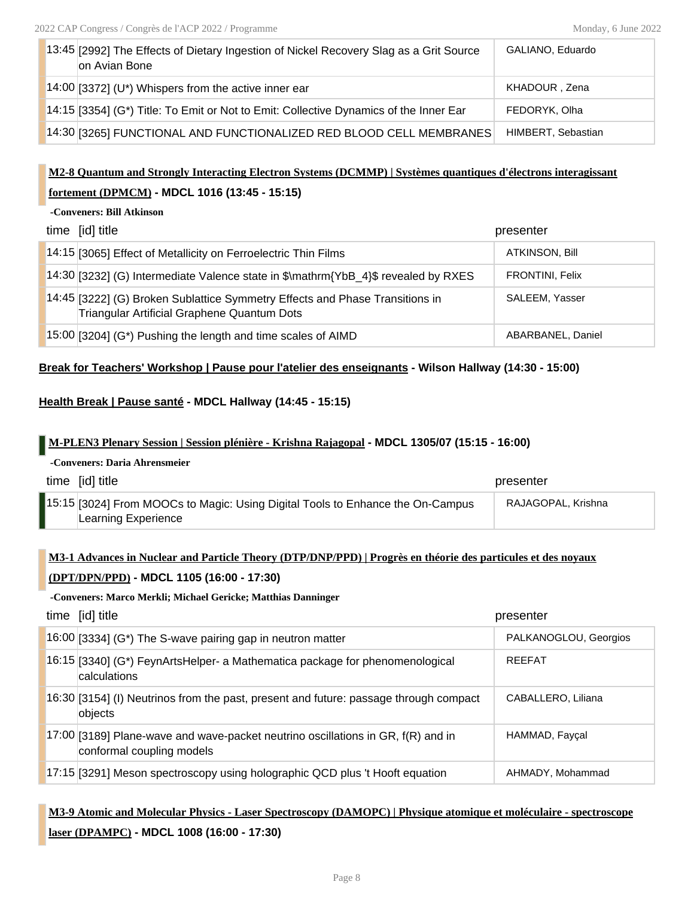| 13:45 [2992] The Effects of Dietary Ingestion of Nickel Recovery Slag as a Grit Source<br>on Avian Bone | GALIANO, Eduardo   |
|---------------------------------------------------------------------------------------------------------|--------------------|
| 14:00 [3372] (U*) Whispers from the active inner ear                                                    | KHADOUR, Zena      |
| 14:15 [3354] (G*) Title: To Emit or Not to Emit: Collective Dynamics of the Inner Ear                   | FEDORYK, Olha      |
| 14:30 [3265] FUNCTIONAL AND FUNCTIONALIZED RED BLOOD CELL MEMBRANES                                     | HIMBERT, Sebastian |

## **M2-8 Quantum and Strongly Interacting Electron Systems (DCMMP) | Systèmes quantiques d'électrons interagissant fortement (DPMCM) - MDCL 1016 (13:45 - 15:15)**

#### **-Conveners: Bill Atkinson**

| time [id] title                                                                                                             | presenter              |
|-----------------------------------------------------------------------------------------------------------------------------|------------------------|
| 14:15 [3065] Effect of Metallicity on Ferroelectric Thin Films                                                              | <b>ATKINSON, Bill</b>  |
| 14:30 [3232] (G) Intermediate Valence state in \$\mathrm{YbB_4}\$ revealed by RXES                                          | <b>FRONTINI, Felix</b> |
| 14:45 [3222] (G) Broken Sublattice Symmetry Effects and Phase Transitions in<br>Triangular Artificial Graphene Quantum Dots | SALEEM, Yasser         |
| $15:00$ [3204] (G*) Pushing the length and time scales of AIMD                                                              | ABARBANEL, Daniel      |

### **Break for Teachers' Workshop | Pause pour l'atelier des enseignants - Wilson Hallway (14:30 - 15:00)**

### **Health Break | Pause santé - MDCL Hallway (14:45 - 15:15)**

### **M-PLEN3 Plenary Session | Session plénière - Krishna Rajagopal - MDCL 1305/07 (15:15 - 16:00)**

| -Conveners: Daria Ahrensmeier |                                                                                                      |                    |  |
|-------------------------------|------------------------------------------------------------------------------------------------------|--------------------|--|
|                               | time [id] title                                                                                      | presenter          |  |
|                               | 15:15 3024] From MOOCs to Magic: Using Digital Tools to Enhance the On-Campus<br>Learning Experience | RAJAGOPAL. Krishna |  |

### **M3-1 Advances in Nuclear and Particle Theory (DTP/DNP/PPD) | Progrès en théorie des particules et des noyaux**

### **(DPT/DPN/PPD) - MDCL 1105 (16:00 - 17:30)**

### **-Conveners: Marco Merkli; Michael Gericke; Matthias Danninger**

| time [id] title                                                                                                   | presenter             |
|-------------------------------------------------------------------------------------------------------------------|-----------------------|
| $16:00$ [3334] (G*) The S-wave pairing gap in neutron matter                                                      | PALKANOGLOU, Georgios |
| 16:15 [3340] (G*) FeynArtsHelper- a Mathematica package for phenomenological<br>calculations                      | <b>RFFFAT</b>         |
| 16:30 [3154] (I) Neutrinos from the past, present and future: passage through compact<br>objects                  | CABALLERO, Liliana    |
| $17:00$ [3189] Plane-wave and wave-packet neutrino oscillations in GR, $f(R)$ and in<br>conformal coupling models | HAMMAD, Fayçal        |
| 17:15 [3291] Meson spectroscopy using holographic QCD plus 't Hooft equation                                      | AHMADY, Mohammad      |

## **M3-9 Atomic and Molecular Physics - Laser Spectroscopy (DAMOPC) | Physique atomique et moléculaire - spectroscope laser (DPAMPC) - MDCL 1008 (16:00 - 17:30)**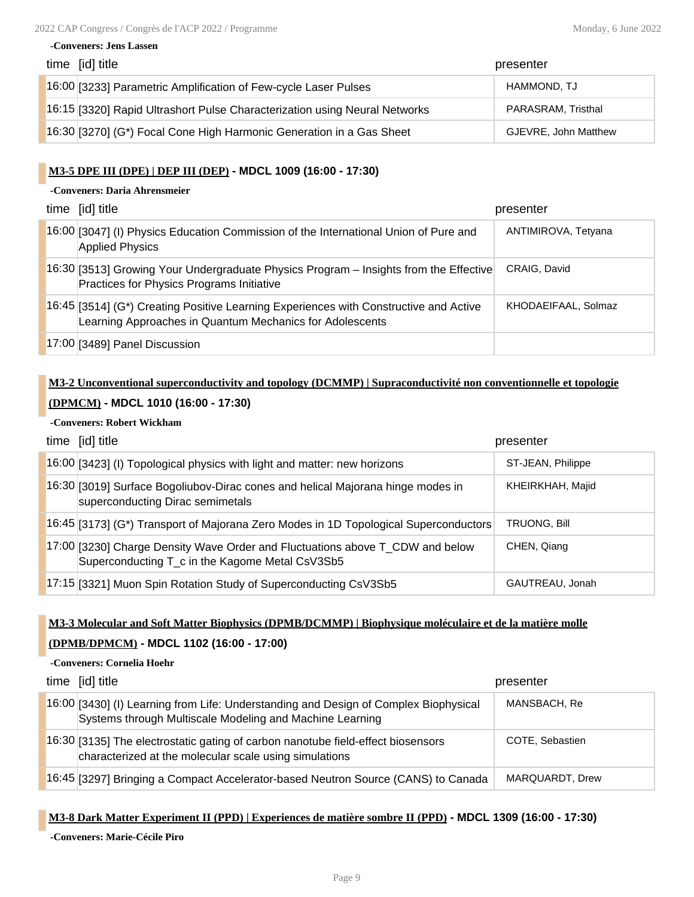| time [id] title                                                            | presenter            |
|----------------------------------------------------------------------------|----------------------|
| 16:00 [3233] Parametric Amplification of Few-cycle Laser Pulses            | HAMMOND, TJ          |
| 16:15 [3320] Rapid Ultrashort Pulse Characterization using Neural Networks | PARASRAM, Tristhal   |
| 16:30 [3270] (G*) Focal Cone High Harmonic Generation in a Gas Sheet       | GJEVRE, John Matthew |

### **M3-5 DPE III (DPE) | DEP III (DEP) - MDCL 1009 (16:00 - 17:30)**

### **-Conveners: Daria Ahrensmeier**

**-Conveners: Jens Lassen**

| time [id] title                                                                                                                                   | presenter           |
|---------------------------------------------------------------------------------------------------------------------------------------------------|---------------------|
| 16:00 [3047] (I) Physics Education Commission of the International Union of Pure and<br><b>Applied Physics</b>                                    | ANTIMIROVA, Tetyana |
| 16:30 [3513] Growing Your Undergraduate Physics Program - Insights from the Effective<br>Practices for Physics Programs Initiative                | CRAIG, David        |
| 16:45 [3514] (G*) Creating Positive Learning Experiences with Constructive and Active<br>Learning Approaches in Quantum Mechanics for Adolescents | KHODAEIFAAL, Solmaz |
| 17:00 [3489] Panel Discussion                                                                                                                     |                     |

## **M3-2 Unconventional superconductivity and topology (DCMMP) | Supraconductivité non conventionnelle et topologie (DPMCM) - MDCL 1010 (16:00 - 17:30)**

### **-Conveners: Robert Wickham**

| time [id] title                                                                                                                  | presenter         |
|----------------------------------------------------------------------------------------------------------------------------------|-------------------|
| 16:00 [3423] (I) Topological physics with light and matter: new horizons                                                         | ST-JEAN, Philippe |
| 16:30 [3019] Surface Bogoliubov-Dirac cones and helical Majorana hinge modes in<br>superconducting Dirac semimetals              | KHEIRKHAH, Majid  |
| 16:45 [3173] (G*) Transport of Majorana Zero Modes in 1D Topological Superconductors                                             | TRUONG, Bill      |
| 17:00 [3230] Charge Density Wave Order and Fluctuations above T_CDW and below<br>Superconducting T c in the Kagome Metal CsV3Sb5 | CHEN, Qiang       |
| 17:15 [3321] Muon Spin Rotation Study of Superconducting CsV3Sb5                                                                 | GAUTREAU, Jonah   |

### **M3-3 Molecular and Soft Matter Biophysics (DPMB/DCMMP) | Biophysique moléculaire et de la matière molle**

### **(DPMB/DPMCM) - MDCL 1102 (16:00 - 17:00)**

| -Conveners: Cornelia Hoehr |                                                                                                                                                  |                 |
|----------------------------|--------------------------------------------------------------------------------------------------------------------------------------------------|-----------------|
|                            | time [id] title                                                                                                                                  | presenter       |
|                            | 16:00 [3430] (I) Learning from Life: Understanding and Design of Complex Biophysical<br>Systems through Multiscale Modeling and Machine Learning | MANSBACH, Re    |
|                            | 16:30 [3135] The electrostatic gating of carbon nanotube field-effect biosensors<br>characterized at the molecular scale using simulations       | COTE, Sebastien |
|                            | 16:45 [3297] Bringing a Compact Accelerator-based Neutron Source (CANS) to Canada                                                                | MAROUARDT, Drew |

### **M3-8 Dark Matter Experiment II (PPD) | Experiences de matière sombre II (PPD) - MDCL 1309 (16:00 - 17:30)**

**-Conveners: Marie-Cécile Piro**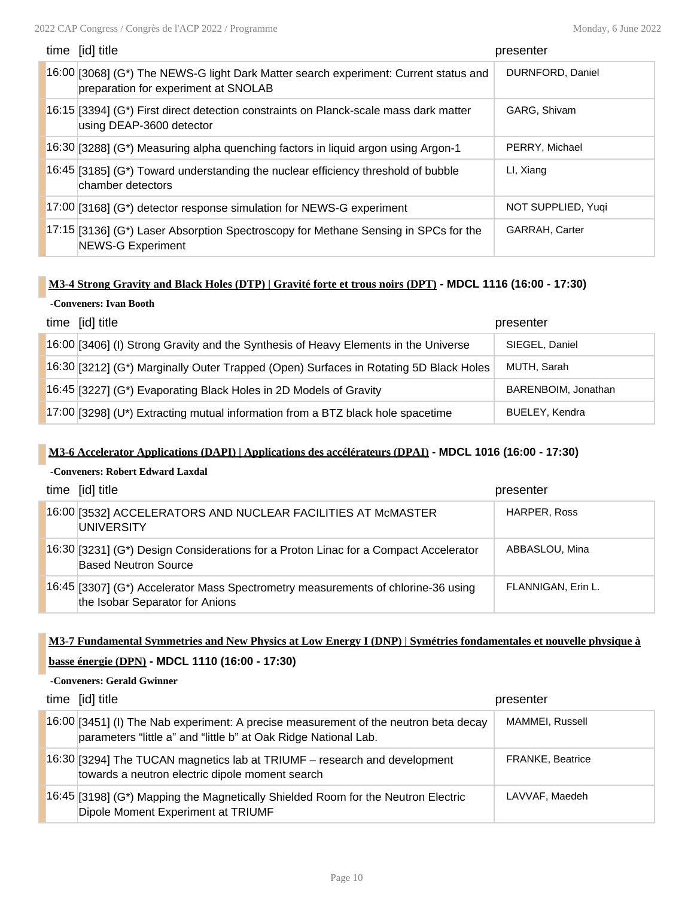| time [id] title                                                                                                              | presenter             |
|------------------------------------------------------------------------------------------------------------------------------|-----------------------|
| 16:00 [3068] (G*) The NEWS-G light Dark Matter search experiment: Current status and<br>preparation for experiment at SNOLAB | DURNFORD, Daniel      |
| 16:15 [3394] (G*) First direct detection constraints on Planck-scale mass dark matter<br>using DEAP-3600 detector            | GARG, Shivam          |
| 16:30 [3288] (G*) Measuring alpha quenching factors in liquid argon using Argon-1                                            | PERRY, Michael        |
| 16:45 [3185] (G*) Toward understanding the nuclear efficiency threshold of bubble<br>chamber detectors                       | LI, Xiang             |
| 17:00 [3168] (G*) detector response simulation for NEWS-G experiment                                                         | NOT SUPPLIED, Yugi    |
| 17:15 [3136] (G*) Laser Absorption Spectroscopy for Methane Sensing in SPCs for the<br><b>NEWS-G Experiment</b>              | <b>GARRAH, Carter</b> |

### **M3-4 Strong Gravity and Black Holes (DTP) | Gravité forte et trous noirs (DPT) - MDCL 1116 (16:00 - 17:30)**

### **-Conveners: Ivan Booth**

| time [id] title                                                                       | presenter             |
|---------------------------------------------------------------------------------------|-----------------------|
| 16:00 [3406] (I) Strong Gravity and the Synthesis of Heavy Elements in the Universe   | SIEGEL, Daniel        |
| 16:30 [3212] (G*) Marginally Outer Trapped (Open) Surfaces in Rotating 5D Black Holes | MUTH, Sarah           |
| 16:45 [3227] (G*) Evaporating Black Holes in 2D Models of Gravity                     | BARENBOIM, Jonathan   |
| 17:00 [3298] (U*) Extracting mutual information from a BTZ black hole spacetime       | <b>BUELEY, Kendra</b> |

### **M3-6 Accelerator Applications (DAPI) | Applications des accélérateurs (DPAI) - MDCL 1016 (16:00 - 17:30)**

### **-Conveners: Robert Edward Laxdal**

| time [id] title                                                                                                        | presenter          |
|------------------------------------------------------------------------------------------------------------------------|--------------------|
| 16:00 [3532] ACCELERATORS AND NUCLEAR FACILITIES AT MCMASTER<br><b>UNIVERSITY</b>                                      | HARPER, Ross       |
| 16:30 [3231] (G*) Design Considerations for a Proton Linac for a Compact Accelerator<br><b>Based Neutron Source</b>    | ABBASLOU, Mina     |
| $16:45$ [3307] (G*) Accelerator Mass Spectrometry measurements of chlorine-36 using<br>the Isobar Separator for Anions | FLANNIGAN, Erin L. |

### **M3-7 Fundamental Symmetries and New Physics at Low Energy I (DNP) | Symétries fondamentales et nouvelle physique à**

### **basse énergie (DPN) - MDCL 1110 (16:00 - 17:30)**

### **-Conveners: Gerald Gwinner**

| time [id] title                                                                                                                                         | presenter               |
|---------------------------------------------------------------------------------------------------------------------------------------------------------|-------------------------|
| 16:00 [3451] (I) The Nab experiment: A precise measurement of the neutron beta decay<br>parameters "little a" and "little b" at Oak Ridge National Lab. | MAMMEI, Russell         |
| 16:30 [3294] The TUCAN magnetics lab at TRIUMF - research and development<br>towards a neutron electric dipole moment search                            | <b>FRANKE, Beatrice</b> |
| 16:45 [3198] (G*) Mapping the Magnetically Shielded Room for the Neutron Electric<br>Dipole Moment Experiment at TRIUMF                                 | LAVVAF, Maedeh          |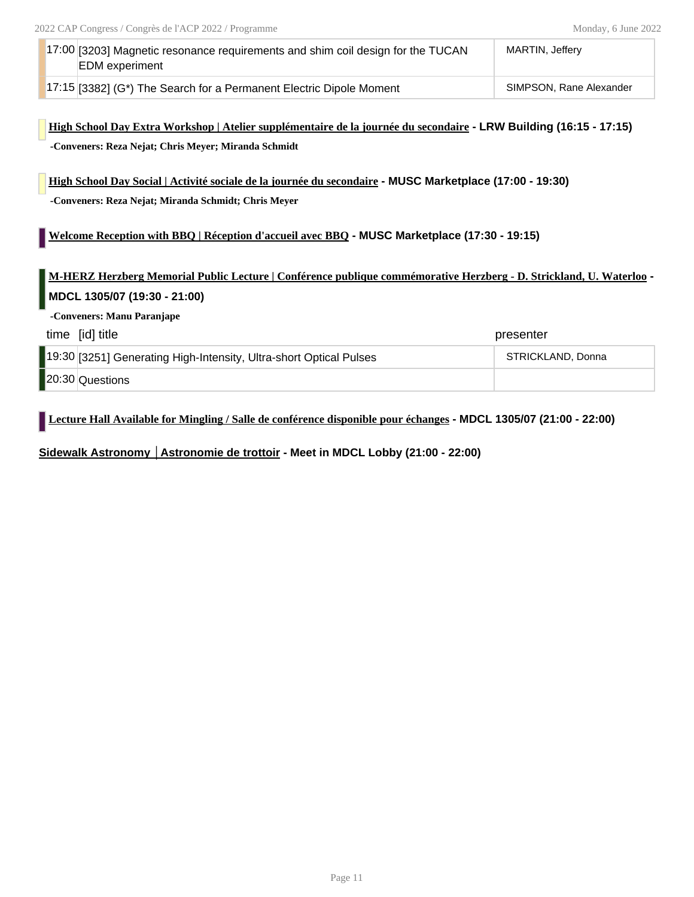| 17:00 [3203] Magnetic resonance requirements and shim coil design for the TUCAN<br><b>EDM</b> experiment | MARTIN. Jefferv         |
|----------------------------------------------------------------------------------------------------------|-------------------------|
| $17:15$ [3382] (G*) The Search for a Permanent Electric Dipole Moment                                    | SIMPSON, Rane Alexander |

### **High School Day Extra Workshop | Atelier supplémentaire de la journée du secondaire - LRW Building (16:15 - 17:15) -Conveners: Reza Nejat; Chris Meyer; Miranda Schmidt**

**High School Day Social | Activité sociale de la journée du secondaire - MUSC Marketplace (17:00 - 19:30) -Conveners: Reza Nejat; Miranda Schmidt; Chris Meyer**

### **Welcome Reception with BBQ | Réception d'accueil avec BBQ - MUSC Marketplace (17:30 - 19:15)**

**M-HERZ Herzberg Memorial Public Lecture | Conférence publique commémorative Herzberg - D. Strickland, U. Waterloo - MDCL 1305/07 (19:30 - 21:00)**

**-Conveners: Manu Paranjape**

| time [id] title                                                    | presenter         |
|--------------------------------------------------------------------|-------------------|
| 19:30 [3251] Generating High-Intensity, Ultra-short Optical Pulses | STRICKLAND, Donna |
| 20:30 Questions                                                    |                   |

**Lecture Hall Available for Mingling / Salle de conférence disponible pour échanges - MDCL 1305/07 (21:00 - 22:00)**

**Sidewalk Astronomy │Astronomie de trottoir - Meet in MDCL Lobby (21:00 - 22:00)**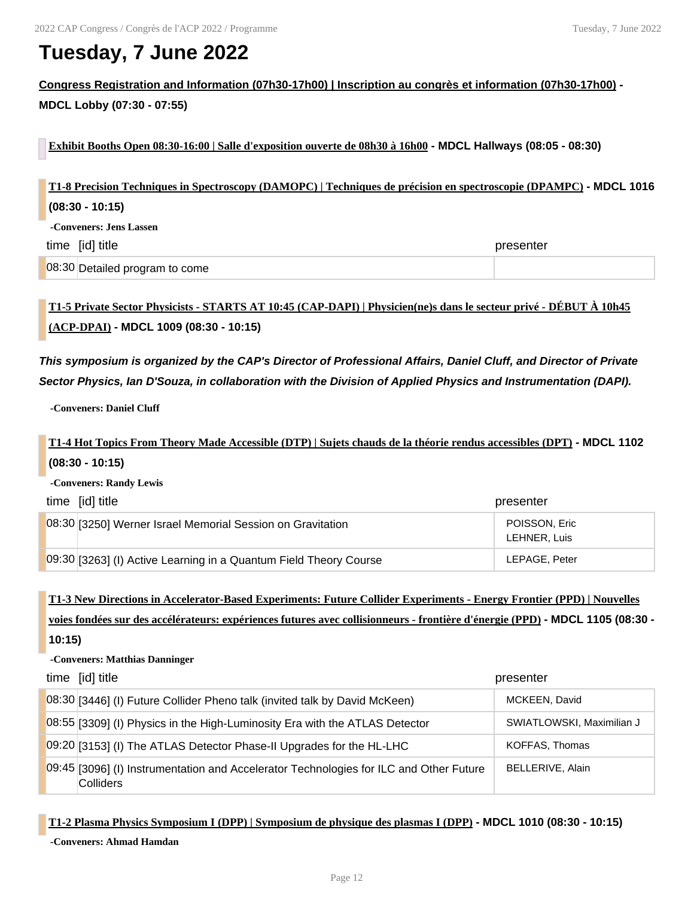# **Tuesday, 7 June 2022**

**Congress Registration and Information (07h30-17h00) | Inscription au congrès et information (07h30-17h00) - MDCL Lobby (07:30 - 07:55)**

**Exhibit Booths Open 08:30-16:00 | Salle d'exposition ouverte de 08h30 à 16h00 - MDCL Hallways (08:05 - 08:30)**

| T1-8 Precision Techniques in Spectroscopy (DAMOPC)   Techniques de précision en spectroscopie (DPAMPC) - MDCL 1016 |                                |           |
|--------------------------------------------------------------------------------------------------------------------|--------------------------------|-----------|
| $(08:30 - 10:15)$                                                                                                  |                                |           |
| -Conveners: Jens Lassen                                                                                            |                                |           |
| time [id] title                                                                                                    |                                | presenter |
|                                                                                                                    | 08:30 Detailed program to come |           |

## **T1-5 Private Sector Physicists - STARTS AT 10:45 (CAP-DAPI) | Physicien(ne)s dans le secteur privé - DÉBUT À 10h45 (ACP-DPAI) - MDCL 1009 (08:30 - 10:15)**

*This symposium is organized by the CAP's Director of Professional Affairs, Daniel Cluff, and Director of Private Sector Physics, Ian D'Souza, in collaboration with the Division of Applied Physics and Instrumentation (DAPI).*

**-Conveners: Daniel Cluff**

**T1-4 Hot Topics From Theory Made Accessible (DTP) | Sujets chauds de la théorie rendus accessibles (DPT) - MDCL 1102 (08:30 - 10:15)**

**-Conveners: Randy Lewis**

| time [id] title                                                   | presenter                     |
|-------------------------------------------------------------------|-------------------------------|
| 08:30 [3250] Werner Israel Memorial Session on Gravitation        | POISSON, Eric<br>LEHNER, Luis |
| 09:30 [3263] (I) Active Learning in a Quantum Field Theory Course | LEPAGE, Peter                 |

**T1-3 New Directions in Accelerator-Based Experiments: Future Collider Experiments - Energy Frontier (PPD) | Nouvelles voies fondées sur des accélérateurs: expériences futures avec collisionneurs - frontière d'énergie (PPD) - MDCL 1105 (08:30 - 10:15)**

#### **-Conveners: Matthias Danninger**

| time [id] title                                                                                     | presenter                 |
|-----------------------------------------------------------------------------------------------------|---------------------------|
| 08:30 [3446] (I) Future Collider Pheno talk (invited talk by David McKeen)                          | MCKEEN, David             |
| 08:55 [3309] (I) Physics in the High-Luminosity Era with the ATLAS Detector                         | SWIATLOWSKI, Maximilian J |
| 09:20 [3153] (I) The ATLAS Detector Phase-II Upgrades for the HL-LHC                                | KOFFAS, Thomas            |
| 09:45 [3096] (I) Instrumentation and Accelerator Technologies for ILC and Other Future<br>Colliders | <b>BELLERIVE, Alain</b>   |

**T1-2 Plasma Physics Symposium I (DPP) | Symposium de physique des plasmas I (DPP) - MDCL 1010 (08:30 - 10:15)**

**-Conveners: Ahmad Hamdan**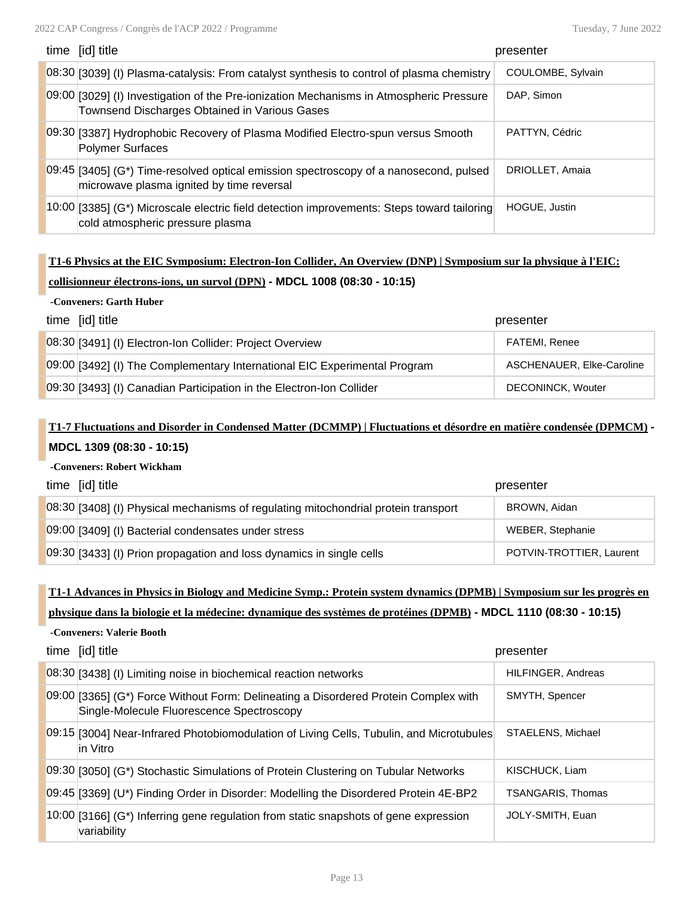| time [id] title                                                                                                                          | presenter         |
|------------------------------------------------------------------------------------------------------------------------------------------|-------------------|
| 08:30 [3039] (I) Plasma-catalysis: From catalyst synthesis to control of plasma chemistry                                                | COULOMBE, Sylvain |
| 09:00 [3029] (I) Investigation of the Pre-ionization Mechanisms in Atmospheric Pressure<br>Townsend Discharges Obtained in Various Gases | DAP, Simon        |
| 09:30 [3387] Hydrophobic Recovery of Plasma Modified Electro-spun versus Smooth<br><b>Polymer Surfaces</b>                               | PATTYN, Cédric    |
| $[09:45]$ [3405] (G*) Time-resolved optical emission spectroscopy of a nanosecond, pulsed<br>microwave plasma ignited by time reversal   | DRIOLLET, Amaia   |
| 10:00 [3385] (G*) Microscale electric field detection improvements: Steps toward tailoring<br>cold atmospheric pressure plasma           | HOGUE, Justin     |

## **T1-6 Physics at the EIC Symposium: Electron-Ion Collider, An Overview (DNP) | Symposium sur la physique à l'EIC: collisionneur électrons-ions, un survol (DPN) - MDCL 1008 (08:30 - 10:15)**

### **-Conveners: Garth Huber**

| time [id] title                                                           | presenter                 |
|---------------------------------------------------------------------------|---------------------------|
| 08:30 [3491] (I) Electron-Ion Collider: Project Overview                  | <b>FATEMI, Renee</b>      |
| 09:00 [3492] (I) The Complementary International EIC Experimental Program | ASCHENAUER, Elke-Caroline |
| 09:30 [3493] (I) Canadian Participation in the Electron-Ion Collider      | DECONINCK, Wouter         |

## **T1-7 Fluctuations and Disorder in Condensed Matter (DCMMP) | Fluctuations et désordre en matière condensée (DPMCM) - MDCL 1309 (08:30 - 10:15)**

### **-Conveners: Robert Wickham**

**-Conveners: Valerie Booth**

| time [id] title                                                                    | presenter                |
|------------------------------------------------------------------------------------|--------------------------|
| 08:30 [3408] (I) Physical mechanisms of regulating mitochondrial protein transport | BROWN, Aidan             |
| 09:00 [3409] (I) Bacterial condensates under stress                                | WEBER, Stephanie         |
| 09:30 [3433] (I) Prion propagation and loss dynamics in single cells               | POTVIN-TROTTIER, Laurent |

### **T1-1 Advances in Physics in Biology and Medicine Symp.: Protein system dynamics (DPMB) | Symposium sur les progrès en**

**physique dans la biologie et la médecine: dynamique des systèmes de protéines (DPMB) - MDCL 1110 (08:30 - 10:15)**

| time [id] title                                                                                                                  | presenter                |
|----------------------------------------------------------------------------------------------------------------------------------|--------------------------|
| 08:30 [3438] (I) Limiting noise in biochemical reaction networks                                                                 | HILFINGER, Andreas       |
| 09:00 [3365] (G*) Force Without Form: Delineating a Disordered Protein Complex with<br>Single-Molecule Fluorescence Spectroscopy | SMYTH, Spencer           |
| 09:15 [3004] Near-Infrared Photobiomodulation of Living Cells, Tubulin, and Microtubules<br>lin Vitro                            | STAELENS, Michael        |
| 09:30 [3050] (G*) Stochastic Simulations of Protein Clustering on Tubular Networks                                               | KISCHUCK, Liam           |
| 09:45 [3369] (U*) Finding Order in Disorder: Modelling the Disordered Protein 4E-BP2                                             | <b>TSANGARIS, Thomas</b> |
| $10:00$ [3166] (G*) Inferring gene regulation from static snapshots of gene expression<br>variability                            | JOLY-SMITH, Euan         |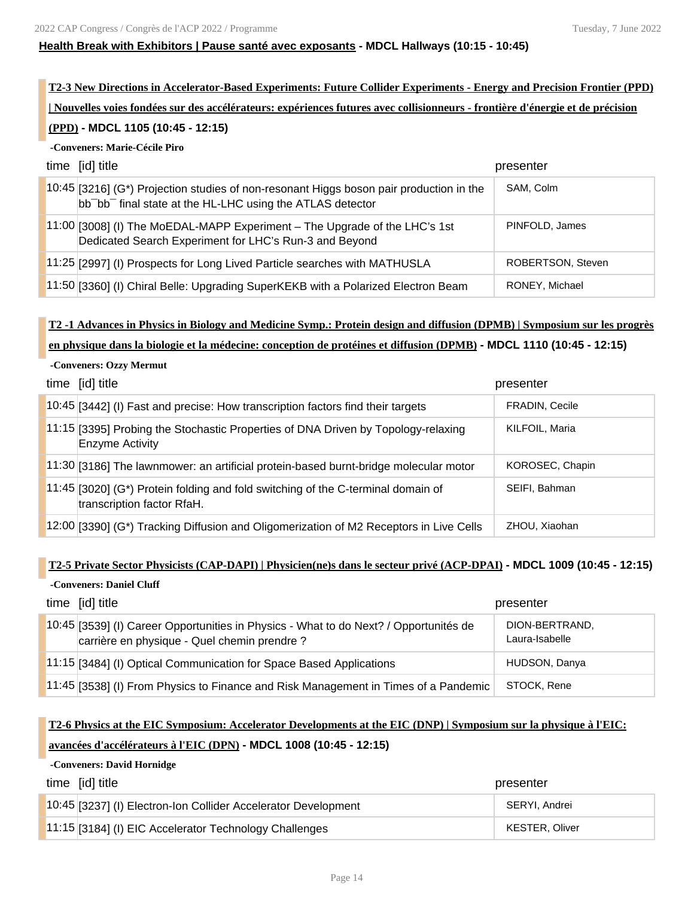### **Health Break with Exhibitors | Pause santé avec exposants - MDCL Hallways (10:15 - 10:45)**

**T2-3 New Directions in Accelerator-Based Experiments: Future Collider Experiments - Energy and Precision Frontier (PPD) | Nouvelles voies fondées sur des accélérateurs: expériences futures avec collisionneurs - frontière d'énergie et de précision**

### **(PPD) - MDCL 1105 (10:45 - 12:15)**

### **-Conveners: Marie-Cécile Piro**

| time [id] title                                                                                                                                                  | presenter         |
|------------------------------------------------------------------------------------------------------------------------------------------------------------------|-------------------|
| 10:45 [3216] (G*) Projection studies of non-resonant Higgs boson pair production in the<br>bb bb <sup>-</sup> final state at the HL-LHC using the ATLAS detector | SAM, Colm         |
| 11:00 [3008] (I) The MoEDAL-MAPP Experiment – The Upgrade of the LHC's 1st<br>Dedicated Search Experiment for LHC's Run-3 and Beyond                             | PINFOLD, James    |
| 11:25 [2997] (I) Prospects for Long Lived Particle searches with MATHUSLA                                                                                        | ROBERTSON, Steven |
| 11:50 [3360] (I) Chiral Belle: Upgrading SuperKEKB with a Polarized Electron Beam                                                                                | RONEY, Michael    |

# **T2 -1 Advances in Physics in Biology and Medicine Symp.: Protein design and diffusion (DPMB) | Symposium sur les progrès**

### **en physique dans la biologie et la médecine: conception de protéines et diffusion (DPMB) - MDCL 1110 (10:45 - 12:15)**

### **-Conveners: Ozzy Mermut**

| time [id] title                                                                                                | presenter       |
|----------------------------------------------------------------------------------------------------------------|-----------------|
| 10:45 [3442] (I) Fast and precise: How transcription factors find their targets                                | FRADIN, Cecile  |
| 11:15 [3395] Probing the Stochastic Properties of DNA Driven by Topology-relaxing<br><b>Enzyme Activity</b>    | KILFOIL, Maria  |
| 11:30 [3186] The lawnmower: an artificial protein-based burnt-bridge molecular motor                           | KOROSEC, Chapin |
| 11:45 [3020] (G*) Protein folding and fold switching of the C-terminal domain of<br>transcription factor RfaH. | SEIFI, Bahman   |
| 12:00 [3390] (G*) Tracking Diffusion and Oligomerization of M2 Receptors in Live Cells                         | ZHOU, Xiaohan   |

### **T2-5 Private Sector Physicists (CAP-DAPI) | Physicien(ne)s dans le secteur privé (ACP-DPAI) - MDCL 1009 (10:45 - 12:15)**

### **-Conveners: Daniel Cluff**

| time [id] title                                                                                                                       | presenter                        |
|---------------------------------------------------------------------------------------------------------------------------------------|----------------------------------|
| 10:45 [3539] (I) Career Opportunities in Physics - What to do Next? / Opportunités de<br>carrière en physique - Quel chemin prendre ? | DION-BERTRAND,<br>Laura-Isabelle |
| 11:15 [3484] (I) Optical Communication for Space Based Applications                                                                   | HUDSON, Danya                    |
| 11:45 [3538] (I) From Physics to Finance and Risk Management in Times of a Pandemic                                                   | STOCK, Rene                      |

## **T2-6 Physics at the EIC Symposium: Accelerator Developments at the EIC (DNP) | Symposium sur la physique à l'EIC: avancées d'accélérateurs à l'EIC (DPN) - MDCL 1008 (10:45 - 12:15)**

### **-Conveners: David Hornidge**

| time [id] title                                                | presenter      |
|----------------------------------------------------------------|----------------|
| 10:45 [3237] (I) Electron-Ion Collider Accelerator Development | SERYI, Andrei  |
| 11:15 [3184] (I) EIC Accelerator Technology Challenges         | KESTER, Oliver |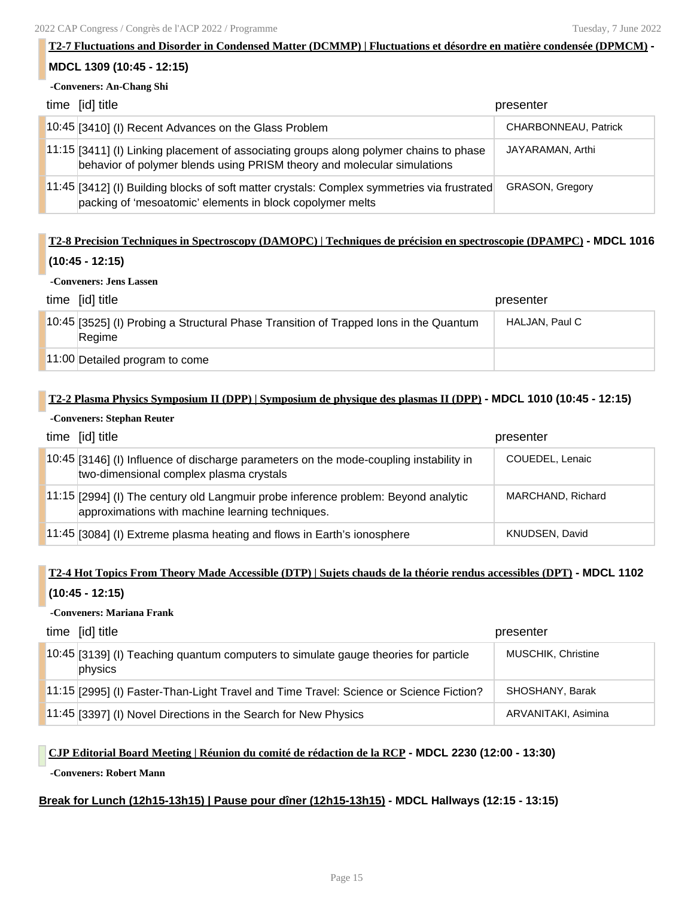# **T2-7 Fluctuations and Disorder in Condensed Matter (DCMMP) | Fluctuations et désordre en matière condensée (DPMCM) - MDCL 1309 (10:45 - 12:15) -Conveners: An-Chang Shi** time [id] title presenter

| 10:45 [3410] (I) Recent Advances on the Glass Problem                                                                                                             | CHARBONNEAU, Patrick |
|-------------------------------------------------------------------------------------------------------------------------------------------------------------------|----------------------|
| 11:15 [3411] (I) Linking placement of associating groups along polymer chains to phase<br>behavior of polymer blends using PRISM theory and molecular simulations | JAYARAMAN, Arthi     |
| [11:45 [3412] (I) Building blocks of soft matter crystals: Complex symmetries via frustrated<br>packing of 'mesoatomic' elements in block copolymer melts         | GRASON, Gregory      |

## **T2-8 Precision Techniques in Spectroscopy (DAMOPC) | Techniques de précision en spectroscopie (DPAMPC) - MDCL 1016 (10:45 - 12:15)**

### **-Conveners: Jens Lassen**

| time [id] title                                                                                 | presenter      |
|-------------------------------------------------------------------------------------------------|----------------|
| 10:45 [3525] (I) Probing a Structural Phase Transition of Trapped Ions in the Quantum<br>Regime | HALJAN, Paul C |
| 11:00 Detailed program to come                                                                  |                |

### **T2-2 Plasma Physics Symposium II (DPP) | Symposium de physique des plasmas II (DPP) - MDCL 1010 (10:45 - 12:15)**

### **-Conveners: Stephan Reuter**

| time [id] title                                                                                                                        | presenter         |
|----------------------------------------------------------------------------------------------------------------------------------------|-------------------|
| 10:45 [3146] (I) Influence of discharge parameters on the mode-coupling instability in<br>two-dimensional complex plasma crystals      | COUEDEL, Lenaic   |
| 11:15 [2994] (I) The century old Langmuir probe inference problem: Beyond analytic<br>approximations with machine learning techniques. | MARCHAND, Richard |
| $11:45$ [3084] (I) Extreme plasma heating and flows in Earth's ionosphere                                                              | KNUDSEN, David    |

## **T2-4 Hot Topics From Theory Made Accessible (DTP) | Sujets chauds de la théorie rendus accessibles (DPT) - MDCL 1102 (10:45 - 12:15)**

### **-Conveners: Mariana Frank**

| time [id] title                                                                                | presenter           |
|------------------------------------------------------------------------------------------------|---------------------|
| 10:45 [3139] (I) Teaching quantum computers to simulate gauge theories for particle<br>physics | MUSCHIK, Christine  |
| 11:15 [2995] (I) Faster-Than-Light Travel and Time Travel: Science or Science Fiction?         | SHOSHANY, Barak     |
| 11:45 [3397] (I) Novel Directions in the Search for New Physics                                | ARVANITAKI, Asimina |

### **CJP Editorial Board Meeting | Réunion du comité de rédaction de la RCP - MDCL 2230 (12:00 - 13:30)**

### **-Conveners: Robert Mann**

### **Break for Lunch (12h15-13h15) | Pause pour dîner (12h15-13h15) - MDCL Hallways (12:15 - 13:15)**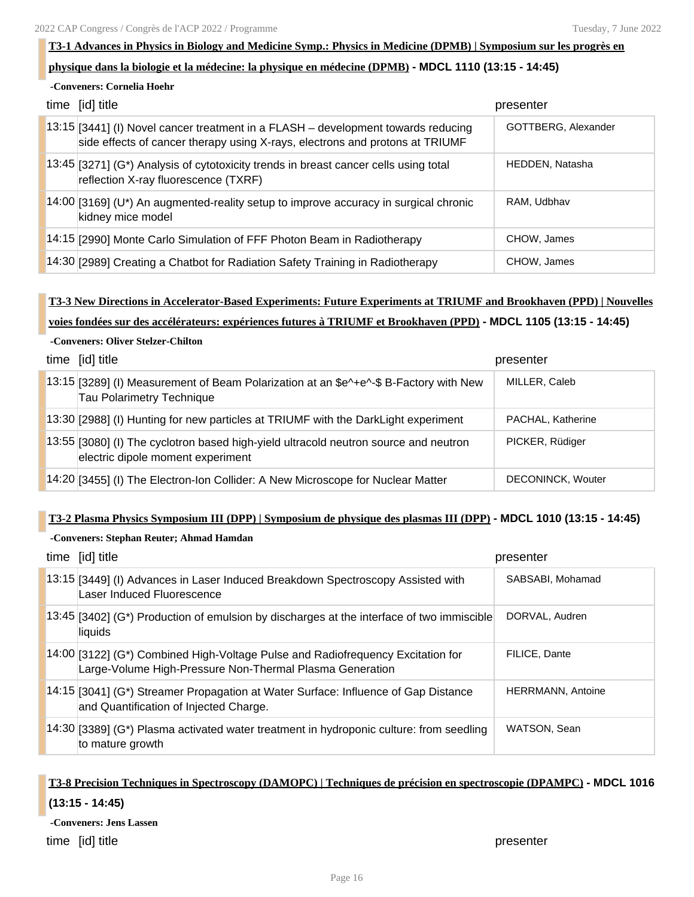### **T3-1 Advances in Physics in Biology and Medicine Symp.: Physics in Medicine (DPMB) | Symposium sur les progrès en**

### **physique dans la biologie et la médecine: la physique en médecine (DPMB) - MDCL 1110 (13:15 - 14:45)**

**-Conveners: Cornelia Hoehr**

| time [id] title                                                                                                                                                   | presenter           |
|-------------------------------------------------------------------------------------------------------------------------------------------------------------------|---------------------|
| 13:15 [3441] (I) Novel cancer treatment in a FLASH – development towards reducing<br>side effects of cancer therapy using X-rays, electrons and protons at TRIUMF | GOTTBERG, Alexander |
| 13:45 [3271] (G*) Analysis of cytotoxicity trends in breast cancer cells using total<br>reflection X-ray fluorescence (TXRF)                                      | HEDDEN, Natasha     |
| $14:00$ [3169] (U*) An augmented-reality setup to improve accuracy in surgical chronic<br>kidney mice model                                                       | RAM. Udbhay         |
| 14:15 [2990] Monte Carlo Simulation of FFF Photon Beam in Radiotherapy                                                                                            | CHOW, James         |
| 14:30 [2989] Creating a Chatbot for Radiation Safety Training in Radiotherapy                                                                                     | CHOW, James         |

## **T3-3 New Directions in Accelerator-Based Experiments: Future Experiments at TRIUMF and Brookhaven (PPD) | Nouvelles voies fondées sur des accélérateurs: expériences futures à TRIUMF et Brookhaven (PPD) - MDCL 1105 (13:15 - 14:45)**

### **-Conveners: Oliver Stelzer-Chilton**

| time [id] title                                                                                                           | presenter         |
|---------------------------------------------------------------------------------------------------------------------------|-------------------|
| 13:15 [3289] (I) Measurement of Beam Polarization at an \$e^+e^-\$ B-Factory with New<br>Tau Polarimetry Technique        | MILLER, Caleb     |
| 13:30 [2988] (I) Hunting for new particles at TRIUMF with the DarkLight experiment                                        | PACHAL, Katherine |
| 13:55 [3080] (I) The cyclotron based high-yield ultracold neutron source and neutron<br>electric dipole moment experiment | PICKER, Rüdiger   |
| 14:20 [3455] (I) The Electron-Ion Collider: A New Microscope for Nuclear Matter                                           | DECONINCK, Wouter |

### **T3-2 Plasma Physics Symposium III (DPP) | Symposium de physique des plasmas III (DPP) - MDCL 1010 (13:15 - 14:45)**

#### **-Conveners: Stephan Reuter; Ahmad Hamdan**

| time [id] title                                                                                                                             | presenter                |
|---------------------------------------------------------------------------------------------------------------------------------------------|--------------------------|
| 13:15 [3449] (I) Advances in Laser Induced Breakdown Spectroscopy Assisted with<br>Laser Induced Fluorescence                               | SABSABI, Mohamad         |
| 13:45 [3402] (G*) Production of emulsion by discharges at the interface of two immiscible<br>liquids                                        | DORVAL, Audren           |
| 14:00 [3122] (G*) Combined High-Voltage Pulse and Radiofrequency Excitation for<br>Large-Volume High-Pressure Non-Thermal Plasma Generation | FILICE, Dante            |
| 14:15 [3041] (G*) Streamer Propagation at Water Surface: Influence of Gap Distance<br>and Quantification of Injected Charge.                | <b>HERRMANN, Antoine</b> |
| 14:30 [3389] (G*) Plasma activated water treatment in hydroponic culture: from seedling<br>to mature growth                                 | WATSON, Sean             |

## **T3-8 Precision Techniques in Spectroscopy (DAMOPC) | Techniques de précision en spectroscopie (DPAMPC) - MDCL 1016 (13:15 - 14:45)**

**-Conveners: Jens Lassen**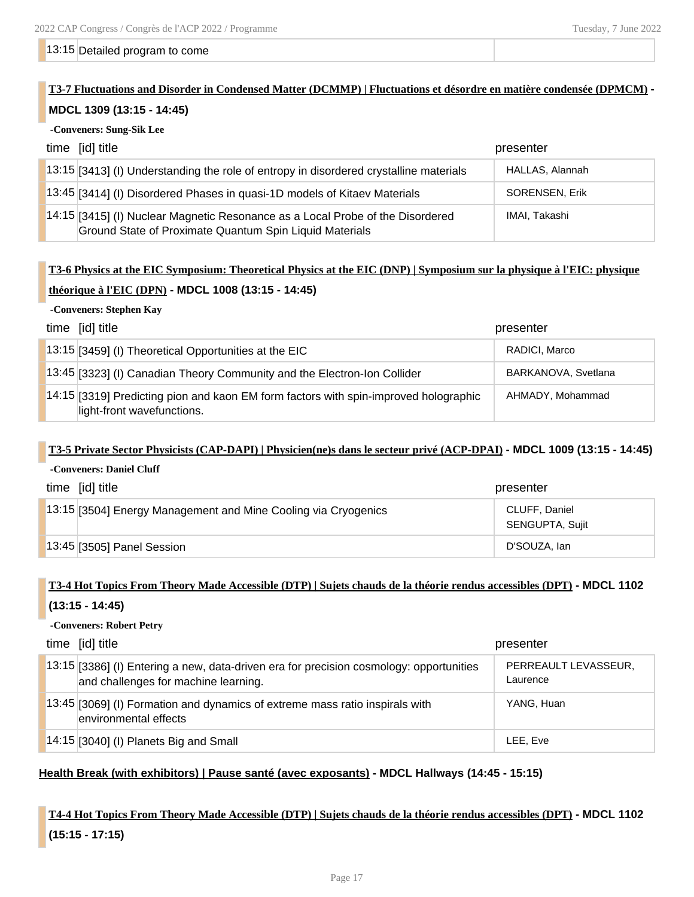#### 13:15 Detailed program to come

## **T3-7 Fluctuations and Disorder in Condensed Matter (DCMMP) | Fluctuations et désordre en matière condensée (DPMCM) -**

### **MDCL 1309 (13:15 - 14:45)**

### **-Conveners: Sung-Sik Lee**

| time [id] title                                                                                                                           | presenter       |
|-------------------------------------------------------------------------------------------------------------------------------------------|-----------------|
| 13:15 [3413] (I) Understanding the role of entropy in disordered crystalline materials                                                    | HALLAS, Alannah |
| 13:45 [3414] (I) Disordered Phases in quasi-1D models of Kitaev Materials                                                                 | SORENSEN, Erik  |
| 14:15 [3415] (I) Nuclear Magnetic Resonance as a Local Probe of the Disordered<br>Ground State of Proximate Quantum Spin Liquid Materials | IMAI, Takashi   |

## **T3-6 Physics at the EIC Symposium: Theoretical Physics at the EIC (DNP) | Symposium sur la physique à l'EIC: physique théorique à l'EIC (DPN) - MDCL 1008 (13:15 - 14:45)**

### **-Conveners: Stephen Kay**

| time [id] title                                                                                                    | presenter           |
|--------------------------------------------------------------------------------------------------------------------|---------------------|
| $13:15$ [3459] (I) Theoretical Opportunities at the EIC                                                            | RADICI, Marco       |
| 13:45 [3323] (I) Canadian Theory Community and the Electron-Ion Collider                                           | BARKANOVA, Svetlana |
| 14:15 [3319] Predicting pion and kaon EM form factors with spin-improved holographic<br>light-front wavefunctions. | AHMADY, Mohammad    |

### **T3-5 Private Sector Physicists (CAP-DAPI) | Physicien(ne)s dans le secteur privé (ACP-DPAI) - MDCL 1009 (13:15 - 14:45) -Conveners: Daniel Cluff**

| time [id] title<br>presenter                                   |                                  |
|----------------------------------------------------------------|----------------------------------|
| 13:15 [3504] Energy Management and Mine Cooling via Cryogenics | CLUFF, Daniel<br>SENGUPTA, Sujit |
| $13:45$ [3505] Panel Session                                   | D'SOUZA, Ian                     |

## **T3-4 Hot Topics From Theory Made Accessible (DTP) | Sujets chauds de la théorie rendus accessibles (DPT) - MDCL 1102 (13:15 - 14:45)**

### **-Conveners: Robert Petry**

| time [id] title                                                                                                                 | presenter                        |
|---------------------------------------------------------------------------------------------------------------------------------|----------------------------------|
| 13:15 [3386] (I) Entering a new, data-driven era for precision cosmology: opportunities<br>and challenges for machine learning. | PERREAULT LEVASSEUR,<br>Laurence |
| 13:45 [3069] (I) Formation and dynamics of extreme mass ratio inspirals with<br>environmental effects                           | YANG, Huan                       |
| $14:15$ [3040] (I) Planets Big and Small                                                                                        | LEE. Eve                         |

### **Health Break (with exhibitors) | Pause santé (avec exposants) - MDCL Hallways (14:45 - 15:15)**

## **T4-4 Hot Topics From Theory Made Accessible (DTP) | Sujets chauds de la théorie rendus accessibles (DPT) - MDCL 1102 (15:15 - 17:15)**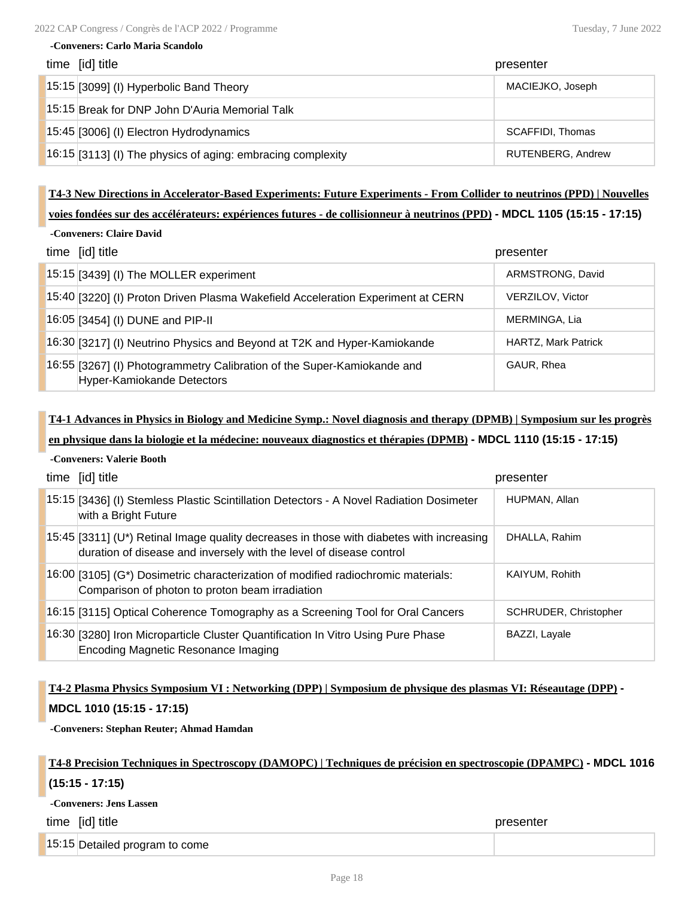### **-Conveners: Carlo Maria Scandolo**

| time [id] title                                             | presenter                |
|-------------------------------------------------------------|--------------------------|
| 15:15 [3099] (I) Hyperbolic Band Theory                     | MACIEJKO, Joseph         |
| 15:15 Break for DNP John D'Auria Memorial Talk              |                          |
| 15:45 [3006] (I) Electron Hydrodynamics                     | <b>SCAFFIDI. Thomas</b>  |
| 16:15 [3113] (I) The physics of aging: embracing complexity | <b>RUTENBERG, Andrew</b> |

### **T4-3 New Directions in Accelerator-Based Experiments: Future Experiments - From Collider to neutrinos (PPD) | Nouvelles**

### **voies fondées sur des accélérateurs: expériences futures - de collisionneur à neutrinos (PPD) - MDCL 1105 (15:15 - 17:15)**

| time [id] title                                                                                       | presenter                  |
|-------------------------------------------------------------------------------------------------------|----------------------------|
| $15:15$ [3439] (I) The MOLLER experiment                                                              | ARMSTRONG, David           |
| 15:40 [3220] (I) Proton Driven Plasma Wakefield Acceleration Experiment at CERN                       | <b>VERZILOV, Victor</b>    |
| 16:05 [3454] (I) DUNE and PIP-II                                                                      | MERMINGA, Lia              |
| 16:30 [3217] (I) Neutrino Physics and Beyond at T2K and Hyper-Kamiokande                              | <b>HARTZ, Mark Patrick</b> |
| 16:55 [3267] (I) Photogrammetry Calibration of the Super-Kamiokande and<br>Hyper-Kamiokande Detectors | GAUR, Rhea                 |

## **T4-1 Advances in Physics in Biology and Medicine Symp.: Novel diagnosis and therapy (DPMB) | Symposium sur les progrès en physique dans la biologie et la médecine: nouveaux diagnostics et thérapies (DPMB) - MDCL 1110 (15:15 - 17:15)**

### **-Conveners: Valerie Booth**

| time [id] title                                                                                                                                                 | presenter             |
|-----------------------------------------------------------------------------------------------------------------------------------------------------------------|-----------------------|
| [15:15] [3436] (I) Stemless Plastic Scintillation Detectors - A Novel Radiation Dosimeter<br>with a Bright Future                                               | HUPMAN, Allan         |
| 15:45 [3311] (U*) Retinal Image quality decreases in those with diabetes with increasing<br>duration of disease and inversely with the level of disease control | DHALLA, Rahim         |
| $16:00$ [3105] (G*) Dosimetric characterization of modified radiochromic materials:<br>Comparison of photon to proton beam irradiation                          | KAIYUM, Rohith        |
| 16:15 [3115] Optical Coherence Tomography as a Screening Tool for Oral Cancers                                                                                  | SCHRUDER, Christopher |
| 16:30 [3280] Iron Microparticle Cluster Quantification In Vitro Using Pure Phase<br>Encoding Magnetic Resonance Imaging                                         | BAZZI, Layale         |

## **T4-2 Plasma Physics Symposium VI : Networking (DPP) | Symposium de physique des plasmas VI: Réseautage (DPP) -**

### **MDCL 1010 (15:15 - 17:15)**

**-Conveners: Stephan Reuter; Ahmad Hamdan**

## **T4-8 Precision Techniques in Spectroscopy (DAMOPC) | Techniques de précision en spectroscopie (DPAMPC) - MDCL 1016 (15:15 - 17:15)**

### **-Conveners: Jens Lassen**

time [id] title presenter

15:15 Detailed program to come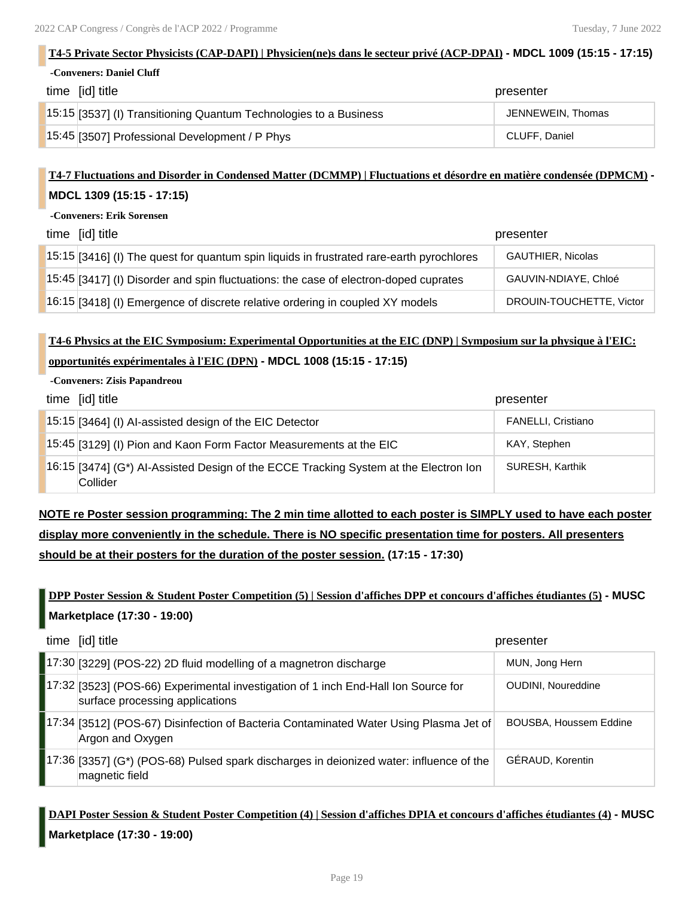### **T4-5 Private Sector Physicists (CAP-DAPI) | Physicien(ne)s dans le secteur privé (ACP-DPAI) - MDCL 1009 (15:15 - 17:15)**

**-Conveners: Daniel Cluff**

| time [id] title                                                   | presenter         |
|-------------------------------------------------------------------|-------------------|
| 15:15 [3537] (I) Transitioning Quantum Technologies to a Business | JENNEWEIN, Thomas |
| 15:45 [3507] Professional Development / P Phys                    | CLUFF, Daniel     |

## **T4-7 Fluctuations and Disorder in Condensed Matter (DCMMP) | Fluctuations et désordre en matière condensée (DPMCM) - MDCL 1309 (15:15 - 17:15)**

### **-Conveners: Erik Sorensen**

| time [id] title                                                                          | presenter                |
|------------------------------------------------------------------------------------------|--------------------------|
| 15:15 [3416] (I) The quest for quantum spin liquids in frustrated rare-earth pyrochlores | <b>GAUTHIER, Nicolas</b> |
| 15:45 [3417] (I) Disorder and spin fluctuations: the case of electron-doped cuprates     | GAUVIN-NDIAYE, Chloé     |
| 16:15 [3418] (I) Emergence of discrete relative ordering in coupled XY models            | DROUIN-TOUCHETTE, Victor |

## **T4-6 Physics at the EIC Symposium: Experimental Opportunities at the EIC (DNP) | Symposium sur la physique à l'EIC: opportunités expérimentales à l'EIC (DPN) - MDCL 1008 (15:15 - 17:15)**

### **-Conveners: Zisis Papandreou**

| time [id] title                                                                                  | presenter                 |
|--------------------------------------------------------------------------------------------------|---------------------------|
| 15:15 [3464] (I) Al-assisted design of the EIC Detector                                          | <b>FANELLI, Cristiano</b> |
| 15:45 [3129] (I) Pion and Kaon Form Factor Measurements at the EIC                               | KAY, Stephen              |
| 16:15 [3474] (G*) Al-Assisted Design of the ECCE Tracking System at the Electron Ion<br>Collider | SURESH, Karthik           |

**NOTE re Poster session programming: The 2 min time allotted to each poster is SIMPLY used to have each poster display more conveniently in the schedule. There is NO specific presentation time for posters. All presenters should be at their posters for the duration of the poster session. (17:15 - 17:30)**

## **DPP Poster Session & Student Poster Competition (5) | Session d'affiches DPP et concours d'affiches étudiantes (5) - MUSC Marketplace (17:30 - 19:00)**

| time [id] title                                                                                                       | presenter                     |
|-----------------------------------------------------------------------------------------------------------------------|-------------------------------|
| [17:30 [3229] (POS-22) 2D fluid modelling of a magnetron discharge                                                    | MUN, Jong Hern                |
| 17:32 [3523] (POS-66) Experimental investigation of 1 inch End-Hall Ion Source for<br>surface processing applications | <b>OUDINI, Noureddine</b>     |
| 17:34 [3512] (POS-67) Disinfection of Bacteria Contaminated Water Using Plasma Jet of<br>Argon and Oxygen             | <b>BOUSBA, Houssem Eddine</b> |
| [17:36 [3357] (G*) (POS-68) Pulsed spark discharges in deionized water: influence of the<br>magnetic field            | GÉRAUD, Korentin              |

## **DAPI Poster Session & Student Poster Competition (4) | Session d'affiches DPIA et concours d'affiches étudiantes (4) - MUSC Marketplace (17:30 - 19:00)**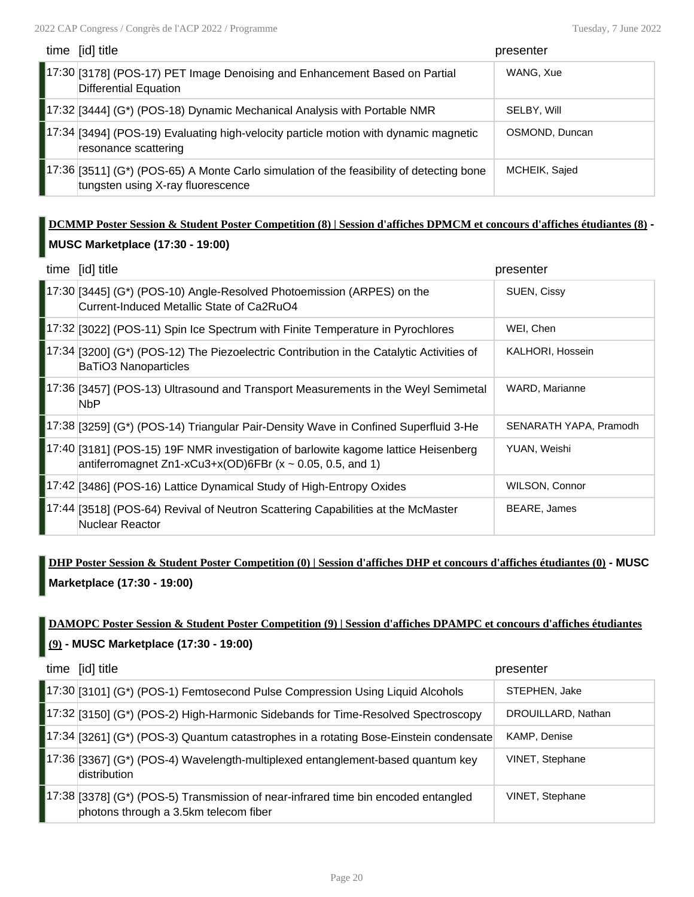| time [id] title                                                                                                                | presenter      |
|--------------------------------------------------------------------------------------------------------------------------------|----------------|
| 17:30 [3178] (POS-17) PET Image Denoising and Enhancement Based on Partial<br>Differential Equation                            | WANG, Xue      |
| 17:32 [3444] (G*) (POS-18) Dynamic Mechanical Analysis with Portable NMR                                                       | SELBY, Will    |
| 17:34 [3494] (POS-19) Evaluating high-velocity particle motion with dynamic magnetic<br>resonance scattering                   | OSMOND, Duncan |
| [17:36 [3511] (G*) (POS-65) A Monte Carlo simulation of the feasibility of detecting bone<br>tungsten using X-ray fluorescence | MCHEIK, Sajed  |

## **DCMMP Poster Session & Student Poster Competition (8) | Session d'affiches DPMCM et concours d'affiches étudiantes (8) - MUSC Marketplace (17:30 - 19:00)**

|       | time [id] title                                                                                                                                        | presenter              |
|-------|--------------------------------------------------------------------------------------------------------------------------------------------------------|------------------------|
|       | 17:30 [3445] (G*) (POS-10) Angle-Resolved Photoemission (ARPES) on the<br>Current-Induced Metallic State of Ca2RuO4                                    | SUEN, Cissy            |
|       | [17:32 [3022] (POS-11) Spin Ice Spectrum with Finite Temperature in Pyrochlores                                                                        | WEI, Chen              |
|       | [17:34 [3200] (G*) (POS-12) The Piezoelectric Contribution in the Catalytic Activities of<br><b>BaTiO3 Nanoparticles</b>                               | KALHORI, Hossein       |
|       | 17:36 [3457] (POS-13) Ultrasound and Transport Measurements in the Weyl Semimetal<br><b>NbP</b>                                                        | WARD, Marianne         |
|       | [17:38 [3259] (G*) (POS-14) Triangular Pair-Density Wave in Confined Superfluid 3-He                                                                   | SENARATH YAPA, Pramodh |
|       | 17:40 [3181] (POS-15) 19F NMR investigation of barlowite kagome lattice Heisenberg<br>antiferromagnet Zn1-xCu3+x(OD)6FBr ( $x \sim 0.05$ , 0.5, and 1) | YUAN, Weishi           |
|       | 17:42 [3486] (POS-16) Lattice Dynamical Study of High-Entropy Oxides                                                                                   | WILSON, Connor         |
| 17:44 | [3518] (POS-64) Revival of Neutron Scattering Capabilities at the McMaster<br>Nuclear Reactor                                                          | <b>BEARE, James</b>    |

## **DHP Poster Session & Student Poster Competition (0) | Session d'affiches DHP et concours d'affiches étudiantes (0) - MUSC Marketplace (17:30 - 19:00)**

## **DAMOPC Poster Session & Student Poster Competition (9) | Session d'affiches DPAMPC et concours d'affiches étudiantes (9) - MUSC Marketplace (17:30 - 19:00)**

| time [id] title                                                                                                              | presenter          |
|------------------------------------------------------------------------------------------------------------------------------|--------------------|
| 17:30 [3101] (G*) (POS-1) Femtosecond Pulse Compression Using Liquid Alcohols                                                | STEPHEN, Jake      |
| 17:32 [3150] (G*) (POS-2) High-Harmonic Sidebands for Time-Resolved Spectroscopy                                             | DROUILLARD, Nathan |
| 17:34 [3261] (G*) (POS-3) Quantum catastrophes in a rotating Bose-Einstein condensate                                        | KAMP, Denise       |
| 17:36 [3367] (G*) (POS-4) Wavelength-multiplexed entanglement-based quantum key<br>distribution                              | VINET, Stephane    |
| [17:38 [3378] (G*) (POS-5) Transmission of near-infrared time bin encoded entangled<br>photons through a 3.5km telecom fiber | VINET, Stephane    |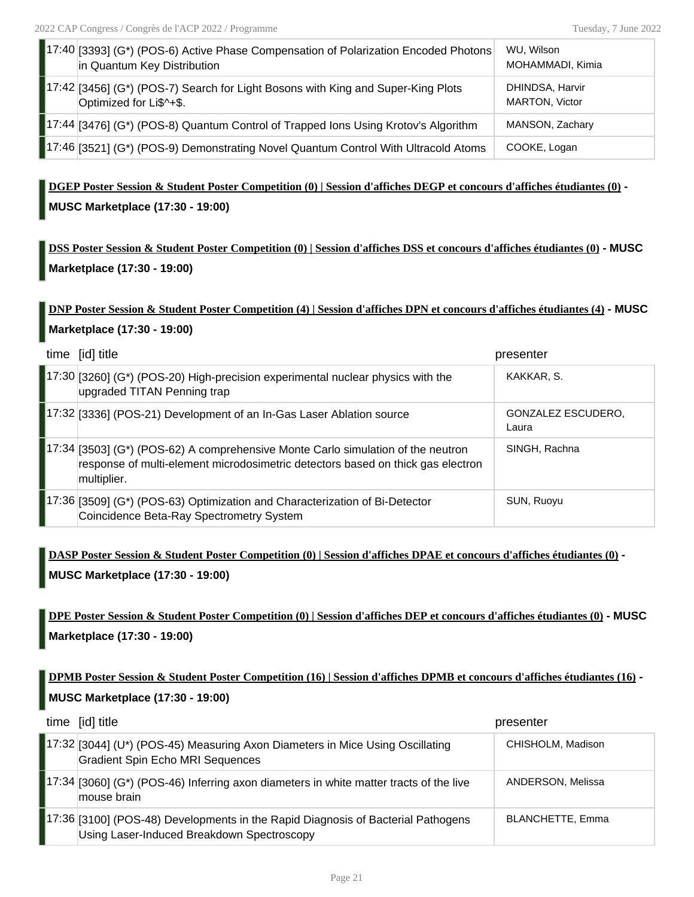| [17:40 [3393] (G*) (POS-6) Active Phase Compensation of Polarization Encoded Photons<br>in Quantum Key Distribution | WU, Wilson<br>MOHAMMADI, Kimia    |
|---------------------------------------------------------------------------------------------------------------------|-----------------------------------|
| $17:42$ [3456] (G*) (POS-7) Search for Light Bosons with King and Super-King Plots<br>Optimized for Li\$^+\$.       | DHINDSA, Harvir<br>MARTON, Victor |
| 17:44 [3476] (G*) (POS-8) Quantum Control of Trapped Ions Using Krotov's Algorithm                                  | MANSON, Zachary                   |
| 17:46 [3521] (G*) (POS-9) Demonstrating Novel Quantum Control With Ultracold Atoms                                  | COOKE, Logan                      |

**DGEP Poster Session & Student Poster Competition (0) | Session d'affiches DEGP et concours d'affiches étudiantes (0) - MUSC Marketplace (17:30 - 19:00)**

**DSS Poster Session & Student Poster Competition (0) | Session d'affiches DSS et concours d'affiches étudiantes (0) - MUSC Marketplace (17:30 - 19:00)**

## **DNP Poster Session & Student Poster Competition (4) | Session d'affiches DPN et concours d'affiches étudiantes (4) - MUSC Marketplace (17:30 - 19:00)**

| time [id] title                                                                                                                                                                     | presenter                   |
|-------------------------------------------------------------------------------------------------------------------------------------------------------------------------------------|-----------------------------|
| 17:30 [3260] (G*) (POS-20) High-precision experimental nuclear physics with the<br>upgraded TITAN Penning trap                                                                      | KAKKAR, S.                  |
| 17:32 [3336] (POS-21) Development of an In-Gas Laser Ablation source                                                                                                                | GONZALEZ ESCUDERO,<br>Laura |
| [17:34 [3503] (G*) (POS-62) A comprehensive Monte Carlo simulation of the neutron<br>response of multi-element microdosimetric detectors based on thick gas electron<br>multiplier. | SINGH, Rachna               |
| 17:36 [3509] (G*) (POS-63) Optimization and Characterization of Bi-Detector<br>Coincidence Beta-Ray Spectrometry System                                                             | SUN, Ruoyu                  |

**DASP Poster Session & Student Poster Competition (0) | Session d'affiches DPAE et concours d'affiches étudiantes (0) - MUSC Marketplace (17:30 - 19:00)**

**DPE Poster Session & Student Poster Competition (0) | Session d'affiches DEP et concours d'affiches étudiantes (0) - MUSC Marketplace (17:30 - 19:00)**

**DPMB Poster Session & Student Poster Competition (16) | Session d'affiches DPMB et concours d'affiches étudiantes (16) - MUSC Marketplace (17:30 - 19:00)**

| time [id] title                                                                                                                 | presenter               |
|---------------------------------------------------------------------------------------------------------------------------------|-------------------------|
| 17:32 [3044] (U*) (POS-45) Measuring Axon Diameters in Mice Using Oscillating<br><b>Gradient Spin Echo MRI Sequences</b>        | CHISHOLM, Madison       |
| 17:34 [3060] (G*) (POS-46) Inferring axon diameters in white matter tracts of the live<br>mouse brain                           | ANDERSON, Melissa       |
| [17:36 [3100] (POS-48) Developments in the Rapid Diagnosis of Bacterial Pathogens<br>Using Laser-Induced Breakdown Spectroscopy | <b>BLANCHETTE, Emma</b> |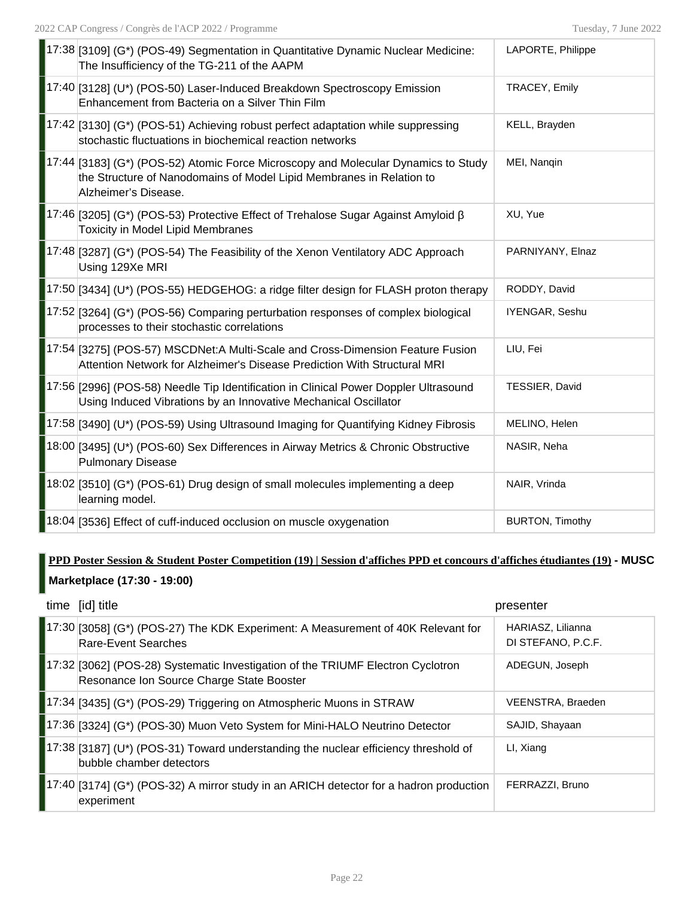| 17:38 [3109] (G*) (POS-49) Segmentation in Quantitative Dynamic Nuclear Medicine:<br>The Insufficiency of the TG-211 of the AAPM                                                   | LAPORTE, Philippe      |
|------------------------------------------------------------------------------------------------------------------------------------------------------------------------------------|------------------------|
| 17:40 [3128] (U*) (POS-50) Laser-Induced Breakdown Spectroscopy Emission<br>Enhancement from Bacteria on a Silver Thin Film                                                        | TRACEY, Emily          |
| 17:42 [3130] (G*) (POS-51) Achieving robust perfect adaptation while suppressing<br>stochastic fluctuations in biochemical reaction networks                                       | KELL, Brayden          |
| 17:44 [3183] (G*) (POS-52) Atomic Force Microscopy and Molecular Dynamics to Study<br>the Structure of Nanodomains of Model Lipid Membranes in Relation to<br>Alzheimer's Disease. | MEI, Nangin            |
| 17:46 [3205] (G*) (POS-53) Protective Effect of Trehalose Sugar Against Amyloid β<br><b>Toxicity in Model Lipid Membranes</b>                                                      | XU, Yue                |
| 17:48 [3287] (G*) (POS-54) The Feasibility of the Xenon Ventilatory ADC Approach<br>Using 129Xe MRI                                                                                | PARNIYANY, Elnaz       |
| 17:50 [3434] (U*) (POS-55) HEDGEHOG: a ridge filter design for FLASH proton therapy                                                                                                | RODDY, David           |
| [17:52 [3264] (G*) (POS-56) Comparing perturbation responses of complex biological<br>processes to their stochastic correlations                                                   | IYENGAR, Seshu         |
| 17:54 3275] (POS-57) MSCDNet:A Multi-Scale and Cross-Dimension Feature Fusion<br>Attention Network for Alzheimer's Disease Prediction With Structural MRI                          | LIU, Fei               |
| 17:56 [2996] (POS-58) Needle Tip Identification in Clinical Power Doppler Ultrasound<br>Using Induced Vibrations by an Innovative Mechanical Oscillator                            | TESSIER, David         |
| 17:58 [3490] (U*) (POS-59) Using Ultrasound Imaging for Quantifying Kidney Fibrosis                                                                                                | MELINO, Helen          |
| 18:00 [3495] (U*) (POS-60) Sex Differences in Airway Metrics & Chronic Obstructive<br><b>Pulmonary Disease</b>                                                                     | NASIR, Neha            |
| $\vert$ 18:02 [3510] (G*) (POS-61) Drug design of small molecules implementing a deep<br>learning model.                                                                           | NAIR, Vrinda           |
| 18:04 [3536] Effect of cuff-induced occlusion on muscle oxygenation                                                                                                                | <b>BURTON, Timothy</b> |

## **PPD Poster Session & Student Poster Competition (19) | Session d'affiches PPD et concours d'affiches étudiantes (19) - MUSC Marketplace (17:30 - 19:00)**

| time [id] title                                                                                                              | presenter                               |
|------------------------------------------------------------------------------------------------------------------------------|-----------------------------------------|
| 17:30 [3058] (G*) (POS-27) The KDK Experiment: A Measurement of 40K Relevant for<br>Rare-Event Searches                      | HARIASZ, Lilianna<br>DI STEFANO, P.C.F. |
| 17:32 [3062] (POS-28) Systematic Investigation of the TRIUMF Electron Cyclotron<br>Resonance Ion Source Charge State Booster | ADEGUN, Joseph                          |
| [17:34 [3435] (G*) (POS-29) Triggering on Atmospheric Muons in STRAW                                                         | VEENSTRA, Braeden                       |
| [17:36 [3324] (G*) (POS-30) Muon Veto System for Mini-HALO Neutrino Detector                                                 | SAJID, Shayaan                          |
| $ 17:38 $ [3187] (U*) (POS-31) Toward understanding the nuclear efficiency threshold of<br>bubble chamber detectors          | LI, Xiang                               |
| $[17:40]$ [3174] (G*) (POS-32) A mirror study in an ARICH detector for a hadron production<br>experiment                     | FERRAZZI, Bruno                         |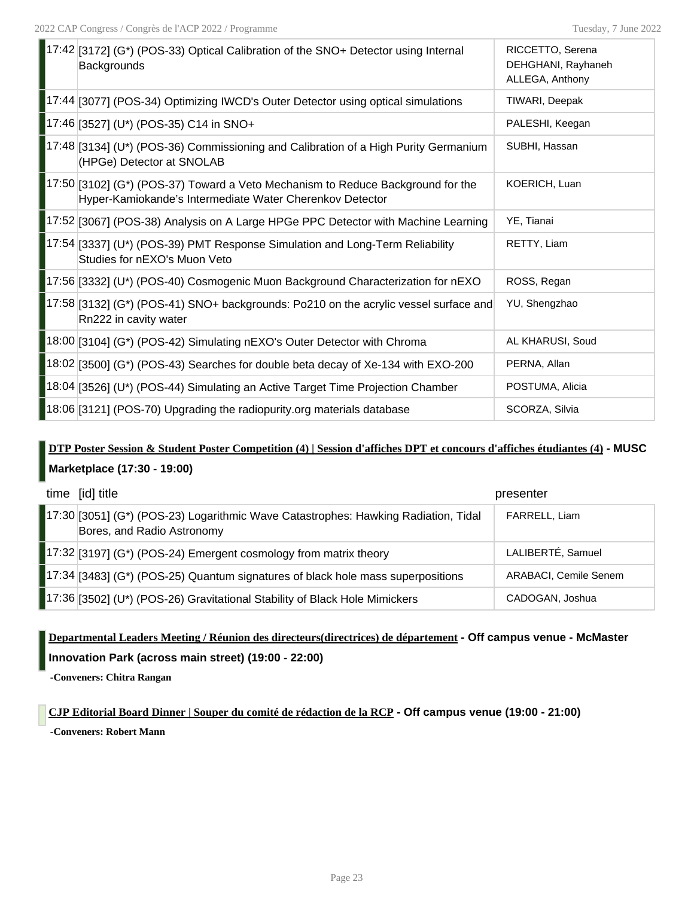| $\blacksquare$ 17:42 [3172] (G*) (POS-33) Optical Calibration of the SNO+ Detector using Internal<br><b>Backgrounds</b>                       | RICCETTO, Serena<br>DEHGHANI, Rayhaneh<br>ALLEGA, Anthony |
|-----------------------------------------------------------------------------------------------------------------------------------------------|-----------------------------------------------------------|
| 17:44 [3077] (POS-34) Optimizing IWCD's Outer Detector using optical simulations                                                              | TIWARI, Deepak                                            |
| 17:46 [3527] (U*) (POS-35) C14 in SNO+                                                                                                        | PALESHI, Keegan                                           |
| 17:48 [3134] (U*) (POS-36) Commissioning and Calibration of a High Purity Germanium<br>(HPGe) Detector at SNOLAB                              | SUBHI, Hassan                                             |
| $17:50$ [3102] (G*) (POS-37) Toward a Veto Mechanism to Reduce Background for the<br>Hyper-Kamiokande's Intermediate Water Cherenkov Detector | KOERICH, Luan                                             |
| 17:52 [3067] (POS-38) Analysis on A Large HPGe PPC Detector with Machine Learning                                                             | YE, Tianai                                                |
| 17:54 [3337] (U*) (POS-39) PMT Response Simulation and Long-Term Reliability<br>Studies for nEXO's Muon Veto                                  | RETTY, Liam                                               |
| 17:56 [3332] (U*) (POS-40) Cosmogenic Muon Background Characterization for nEXO                                                               | ROSS, Regan                                               |
| 17:58 [3132] (G*) (POS-41) SNO+ backgrounds: Po210 on the acrylic vessel surface and<br>Rn222 in cavity water                                 | YU, Shengzhao                                             |
| [18:00 [3104] (G*) (POS-42) Simulating nEXO's Outer Detector with Chroma                                                                      | AL KHARUSI, Soud                                          |
| $\blacksquare$ 18:02 [3500] (G*) (POS-43) Searches for double beta decay of Xe-134 with EXO-200                                               | PERNA, Allan                                              |
| 18:04 [3526] (U*) (POS-44) Simulating an Active Target Time Projection Chamber                                                                | POSTUMA, Alicia                                           |
| 18:06 [3121] (POS-70) Upgrading the radiopurity org materials database                                                                        | SCORZA, Silvia                                            |

## **DTP Poster Session & Student Poster Competition (4) | Session d'affiches DPT et concours d'affiches étudiantes (4) - MUSC Marketplace (17:30 - 19:00)**

| time [id] title                                                                                                  | presenter             |
|------------------------------------------------------------------------------------------------------------------|-----------------------|
| 17:30 [3051] (G*) (POS-23) Logarithmic Wave Catastrophes: Hawking Radiation, Tidal<br>Bores, and Radio Astronomy | FARRELL, Liam         |
| $\left[17:32\right]$ [3197] (G*) (POS-24) Emergent cosmology from matrix theory                                  | LALIBERTÉ, Samuel     |
| $17:34$ [3483] (G*) (POS-25) Quantum signatures of black hole mass superpositions                                | ARABACI, Cemile Senem |
| 17:36 [3502] (U*) (POS-26) Gravitational Stability of Black Hole Mimickers                                       | CADOGAN, Joshua       |

## **Departmental Leaders Meeting / Réunion des directeurs(directrices) de département - Off campus venue - McMaster Innovation Park (across main street) (19:00 - 22:00)**

**-Conveners: Chitra Rangan**

**CJP Editorial Board Dinner | Souper du comité de rédaction de la RCP - Off campus venue (19:00 - 21:00) -Conveners: Robert Mann**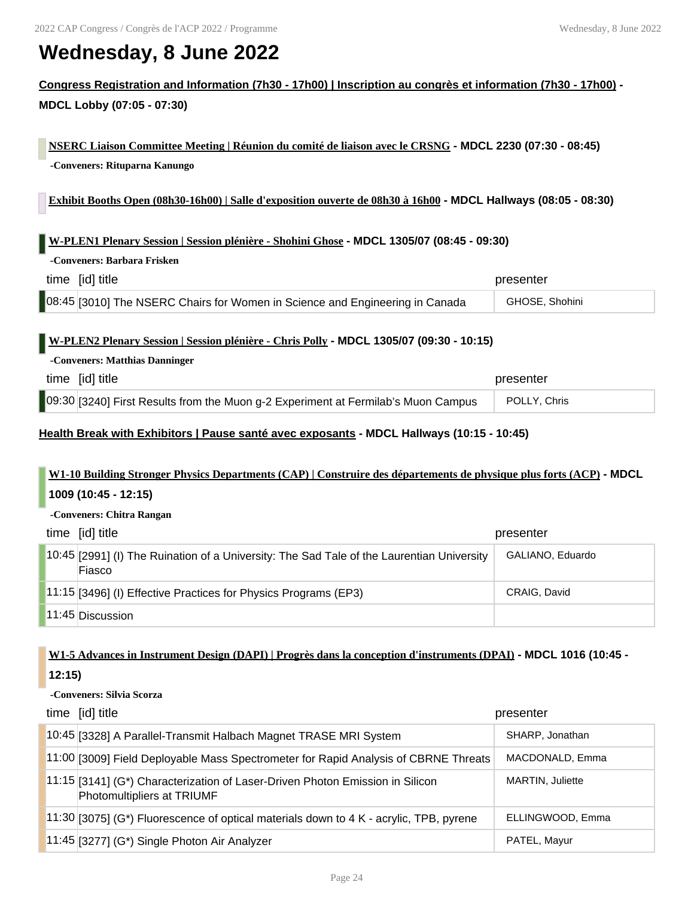# **Wednesday, 8 June 2022**

## **Congress Registration and Information (7h30 - 17h00) | Inscription au congrès et information (7h30 - 17h00) - MDCL Lobby (07:05 - 07:30)**

**NSERC Liaison Committee Meeting | Réunion du comité de liaison avec le CRSNG - MDCL 2230 (07:30 - 08:45) -Conveners: Rituparna Kanungo**

**Exhibit Booths Open (08h30-16h00) | Salle d'exposition ouverte de 08h30 à 16h00 - MDCL Hallways (08:05 - 08:30)**

### **W-PLEN1 Plenary Session | Session plénière - Shohini Ghose - MDCL 1305/07 (08:45 - 09:30)**

| time [id] title                                                              | presenter      |
|------------------------------------------------------------------------------|----------------|
| 08:45 [3010] The NSERC Chairs for Women in Science and Engineering in Canada | GHOSE, Shohini |

### **W-PLEN2 Plenary Session | Session plénière - Chris Polly - MDCL 1305/07 (09:30 - 10:15)**

### **-Conveners: Matthias Danninger**

**-Conveners: Barbara Frisken**

| time [id] title                                                                   | presenter    |
|-----------------------------------------------------------------------------------|--------------|
| 09:30 [3240] First Results from the Muon g-2 Experiment at Fermilab's Muon Campus | POLLY, Chris |

### **Health Break with Exhibitors | Pause santé avec exposants - MDCL Hallways (10:15 - 10:45)**

# **W1-10 Building Stronger Physics Departments (CAP) | Construire des départements de physique plus forts (ACP) - MDCL**

### **1009 (10:45 - 12:15)**

| -Conveners: Chitra Rangan |                                                                                                     |                  |
|---------------------------|-----------------------------------------------------------------------------------------------------|------------------|
|                           | time [id] title                                                                                     | presenter        |
|                           | 10:45 [2991] (I) The Ruination of a University: The Sad Tale of the Laurentian University<br>Fiasco | GALIANO, Eduardo |
|                           | [11:15 [3496] (I) Effective Practices for Physics Programs (EP3)                                    | CRAIG, David     |
|                           | 11:45 Discussion                                                                                    |                  |

## **W1-5 Advances in Instrument Design (DAPI) | Progrès dans la conception d'instruments (DPAI) - MDCL 1016 (10:45 - 12:15)**

### **-Conveners: Silvia Scorza**

| time [id] title                                                                                               | presenter        |
|---------------------------------------------------------------------------------------------------------------|------------------|
| 10:45 [3328] A Parallel-Transmit Halbach Magnet TRASE MRI System                                              | SHARP, Jonathan  |
| 11:00 [3009] Field Deployable Mass Spectrometer for Rapid Analysis of CBRNE Threats                           | MACDONALD, Emma  |
| $11:15$ [3141] (G*) Characterization of Laser-Driven Photon Emission in Silicon<br>Photomultipliers at TRIUMF | MARTIN, Juliette |
| 11:30 [3075] (G*) Fluorescence of optical materials down to 4 K - acrylic, TPB, pyrene                        | ELLINGWOOD, Emma |
| 11:45 [3277] (G*) Single Photon Air Analyzer                                                                  | PATEL, Mayur     |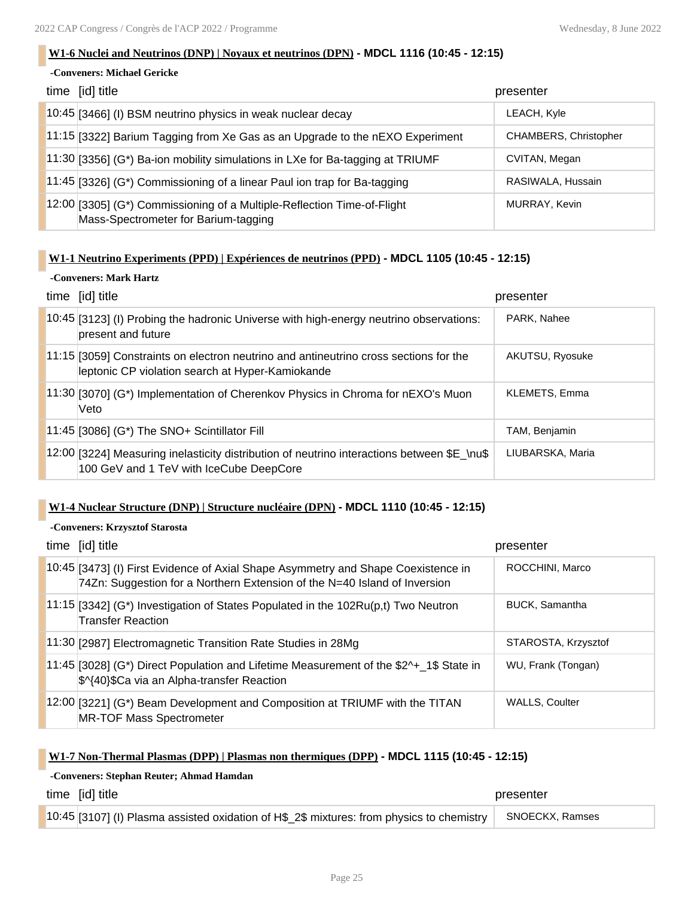### **W1-6 Nuclei and Neutrinos (DNP) | Noyaux et neutrinos (DPN) - MDCL 1116 (10:45 - 12:15)**

### **-Conveners: Michael Gericke**

| time [id] title                                                                                                 | presenter             |
|-----------------------------------------------------------------------------------------------------------------|-----------------------|
| 10:45 [3466] (I) BSM neutrino physics in weak nuclear decay                                                     | LEACH, Kyle           |
| 11:15 [3322] Barium Tagging from Xe Gas as an Upgrade to the nEXO Experiment                                    | CHAMBERS, Christopher |
| $11:30$ [3356] (G*) Ba-ion mobility simulations in LXe for Ba-tagging at TRIUMF                                 | CVITAN, Megan         |
| 11:45 [3326] ( $G^*$ ) Commissioning of a linear Paul ion trap for Ba-tagging                                   | RASIWALA, Hussain     |
| 12:00 [3305] (G*) Commissioning of a Multiple-Reflection Time-of-Flight<br>Mass-Spectrometer for Barium-tagging | MURRAY, Kevin         |

### **W1-1 Neutrino Experiments (PPD) | Expériences de neutrinos (PPD) - MDCL 1105 (10:45 - 12:15)**

### **-Conveners: Mark Hartz**

| time [id] title                                                                                                                           | presenter        |
|-------------------------------------------------------------------------------------------------------------------------------------------|------------------|
| 10:45 [3123] (I) Probing the hadronic Universe with high-energy neutrino observations:<br>present and future                              | PARK, Nahee      |
| 11:15 [3059] Constraints on electron neutrino and antineutrino cross sections for the<br>leptonic CP violation search at Hyper-Kamiokande | AKUTSU, Ryosuke  |
| 11:30 [3070] (G*) Implementation of Cherenkov Physics in Chroma for nEXO's Muon<br>Veto                                                   | KLEMETS, Emma    |
| $11:45$ [3086] (G*) The SNO+ Scintillator Fill                                                                                            | TAM, Benjamin    |
| 12:00 [3224] Measuring inelasticity distribution of neutrino interactions between $E$ \nu\$<br>100 GeV and 1 TeV with IceCube DeepCore    | LIUBARSKA, Maria |

### **W1-4 Nuclear Structure (DNP) | Structure nucléaire (DPN) - MDCL 1110 (10:45 - 12:15)**

### **-Conveners: Krzysztof Starosta**

| time [id] title                                                                                                                                                | presenter             |
|----------------------------------------------------------------------------------------------------------------------------------------------------------------|-----------------------|
| 10:45 [3473] (I) First Evidence of Axial Shape Asymmetry and Shape Coexistence in<br>74Zn: Suggestion for a Northern Extension of the N=40 Island of Inversion | ROCCHINI, Marco       |
| 11:15 [3342] (G*) Investigation of States Populated in the $102Ru(p,t)$ Two Neutron<br><b>Transfer Reaction</b>                                                | <b>BUCK, Samantha</b> |
| 11:30 [2987] Electromagnetic Transition Rate Studies in 28Mg                                                                                                   | STAROSTA, Krzysztof   |
| $ 11.45 $ [3028] (G*) Direct Population and Lifetime Measurement of the \$2^+ 1\$ State in<br>\$^{40}\$Ca via an Alpha-transfer Reaction                       | WU, Frank (Tongan)    |
| $12:00$ [3221] (G*) Beam Development and Composition at TRIUMF with the TITAN<br><b>MR-TOF Mass Spectrometer</b>                                               | <b>WALLS, Coulter</b> |

### **W1-7 Non-Thermal Plasmas (DPP) | Plasmas non thermiques (DPP) - MDCL 1115 (10:45 - 12:15)**

### **-Conveners: Stephan Reuter; Ahmad Hamdan**

| time [id] title                                                                           | presenter       |
|-------------------------------------------------------------------------------------------|-----------------|
| 10:45 [3107] (I) Plasma assisted oxidation of H\$ 2\$ mixtures: from physics to chemistry | SNOECKX. Ramses |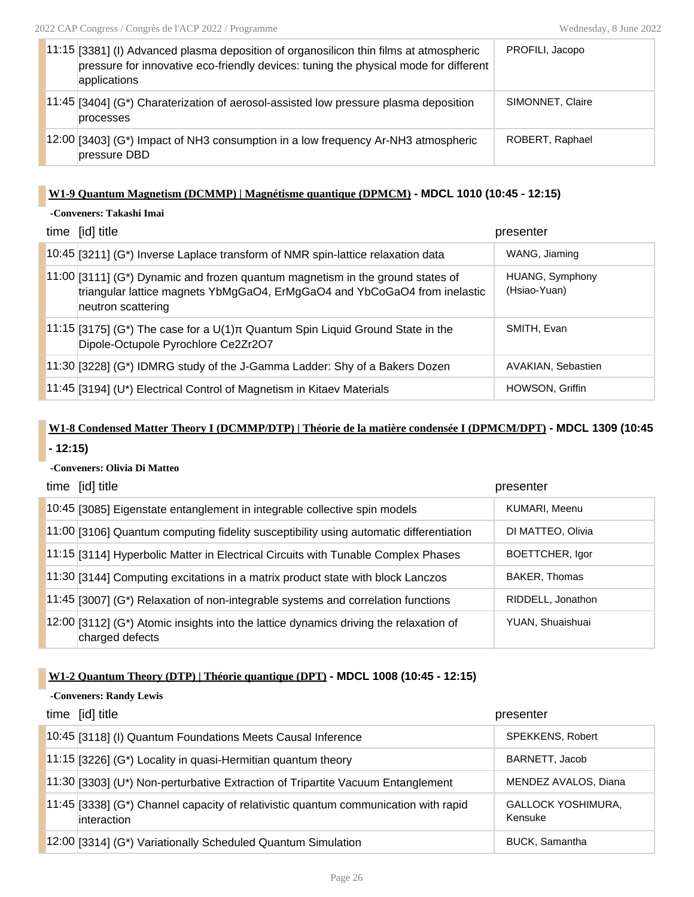| $11:15$ [3381] (I) Advanced plasma deposition of organosilicon thin films at atmospheric<br>pressure for innovative eco-friendly devices: tuning the physical mode for different<br>applications | PROFILI, Jacopo  |
|--------------------------------------------------------------------------------------------------------------------------------------------------------------------------------------------------|------------------|
| $11:45$ [3404] (G*) Charaterization of aerosol-assisted low pressure plasma deposition<br>processes                                                                                              | SIMONNET, Claire |
| $12:00$ [3403] (G*) Impact of NH3 consumption in a low frequency Ar-NH3 atmospheric<br>pressure DBD                                                                                              | ROBERT, Raphael  |

### **W1-9 Quantum Magnetism (DCMMP) | Magnétisme quantique (DPMCM) - MDCL 1010 (10:45 - 12:15)**

## **-Conveners: Takashi Imai**

| time [id] title                                                                                                                                                                     | presenter                       |
|-------------------------------------------------------------------------------------------------------------------------------------------------------------------------------------|---------------------------------|
| $10:45$ [3211] (G*) Inverse Laplace transform of NMR spin-lattice relaxation data                                                                                                   | WANG, Jiaming                   |
| $11:00$ [3111] (G*) Dynamic and frozen quantum magnetism in the ground states of<br>triangular lattice magnets YbMgGaO4, ErMgGaO4 and YbCoGaO4 from inelastic<br>neutron scattering | HUANG, Symphony<br>(Hsiao-Yuan) |
| $11:15$ [3175] (G*) The case for a U(1)π Quantum Spin Liquid Ground State in the<br>Dipole-Octupole Pyrochlore Ce2Zr2O7                                                             | SMITH, Evan                     |
| $\vert$ 11:30 [3228] (G*) IDMRG study of the J-Gamma Ladder: Shy of a Bakers Dozen                                                                                                  | AVAKIAN, Sebastien              |
| 11:45 [3194] (U*) Electrical Control of Magnetism in Kitaev Materials                                                                                                               | HOWSON, Griffin                 |

# **W1-8 Condensed Matter Theory I (DCMMP/DTP) | Théorie de la matière condensée I (DPMCM/DPT) - MDCL 1309 (10:45**

### **- 12:15)**

### **-Conveners: Olivia Di Matteo**

| time [id] title                                                                                                  | presenter         |
|------------------------------------------------------------------------------------------------------------------|-------------------|
| 10:45 [3085] Eigenstate entanglement in integrable collective spin models                                        | KUMARI, Meenu     |
| 11:00 [3106] Quantum computing fidelity susceptibility using automatic differentiation                           | DI MATTEO, Olivia |
| 11:15 [3114] Hyperbolic Matter in Electrical Circuits with Tunable Complex Phases                                | BOETTCHER, Igor   |
| 11:30 [3144] Computing excitations in a matrix product state with block Lanczos                                  | BAKER, Thomas     |
| $11:45$ [3007] (G*) Relaxation of non-integrable systems and correlation functions                               | RIDDELL, Jonathon |
| $\vert$ 12:00 [3112] (G*) Atomic insights into the lattice dynamics driving the relaxation of<br>charged defects | YUAN, Shuaishuai  |

### **W1-2 Quantum Theory (DTP) | Théorie quantique (DPT) - MDCL 1008 (10:45 - 12:15)**

#### **-Conveners: Randy Lewis**

| time [id] title                                                                                    | presenter                            |
|----------------------------------------------------------------------------------------------------|--------------------------------------|
| 10:45 [3118] (I) Quantum Foundations Meets Causal Inference                                        | <b>SPEKKENS, Robert</b>              |
| 11:15 [3226] (G*) Locality in quasi-Hermitian quantum theory                                       | BARNETT, Jacob                       |
| $11:30$ [3303] (U*) Non-perturbative Extraction of Tripartite Vacuum Entanglement                  | MENDEZ AVALOS, Diana                 |
| 11:45 [3338] (G*) Channel capacity of relativistic quantum communication with rapid<br>interaction | <b>GALLOCK YOSHIMURA,</b><br>Kensuke |
| 12:00 [3314] (G*) Variationally Scheduled Quantum Simulation                                       | <b>BUCK, Samantha</b>                |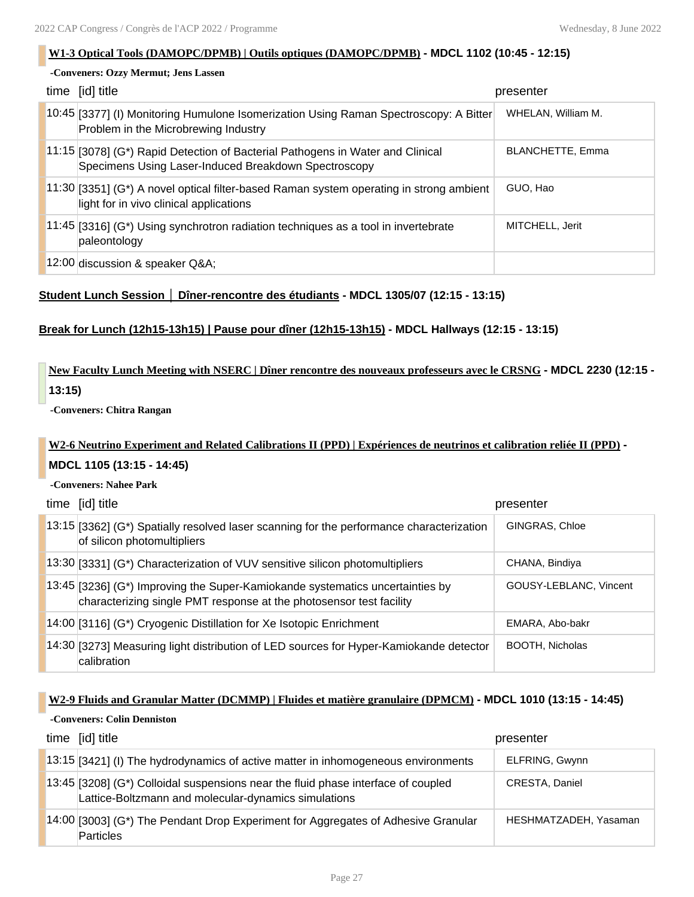### **W1-3 Optical Tools (DAMOPC/DPMB) | Outils optiques (DAMOPC/DPMB) - MDCL 1102 (10:45 - 12:15)**

### **-Conveners: Ozzy Mermut; Jens Lassen**

| time [id] title                                                                                                                          | presenter               |
|------------------------------------------------------------------------------------------------------------------------------------------|-------------------------|
| [10:45 [3377] (I) Monitoring Humulone Isomerization Using Raman Spectroscopy: A Bitter<br>Problem in the Microbrewing Industry           | WHELAN, William M.      |
| $11:15$ [3078] (G*) Rapid Detection of Bacterial Pathogens in Water and Clinical<br>Specimens Using Laser-Induced Breakdown Spectroscopy | <b>BLANCHETTE, Emma</b> |
| $11:30$ [3351] (G*) A novel optical filter-based Raman system operating in strong ambient<br>light for in vivo clinical applications     | GUO, Hao                |
| $11.45$ [3316] (G*) Using synchrotron radiation techniques as a tool in invertebrate<br>paleontology                                     | MITCHELL, Jerit         |
| 12:00 discussion & speaker Q&A                                                                                                           |                         |

### **Student Lunch Session │ Dîner-rencontre des étudiants - MDCL 1305/07 (12:15 - 13:15)**

### **Break for Lunch (12h15-13h15) | Pause pour dîner (12h15-13h15) - MDCL Hallways (12:15 - 13:15)**

## **New Faculty Lunch Meeting with NSERC | Dîner rencontre des nouveaux professeurs avec le CRSNG - MDCL 2230 (12:15 - 13:15)**

**-Conveners: Chitra Rangan**

### **W2-6 Neutrino Experiment and Related Calibrations II (PPD) | Expériences de neutrinos et calibration reliée II (PPD) -**

### **MDCL 1105 (13:15 - 14:45)**

**-Conveners: Nahee Park**

| time [id] title                                                                                                                                      | presenter              |
|------------------------------------------------------------------------------------------------------------------------------------------------------|------------------------|
| $13:15$ [3362] (G*) Spatially resolved laser scanning for the performance characterization<br>of silicon photomultipliers                            | GINGRAS, Chloe         |
| $\left 13:30\right $ (3331) (G*) Characterization of VUV sensitive silicon photomultipliers                                                          | CHANA, Bindiya         |
| 13:45 [3236] (G*) Improving the Super-Kamiokande systematics uncertainties by<br>characterizing single PMT response at the photosensor test facility | GOUSY-LEBLANC, Vincent |
| 14:00 [3116] (G*) Cryogenic Distillation for Xe Isotopic Enrichment                                                                                  | EMARA, Abo-bakr        |
| 14:30 [3273] Measuring light distribution of LED sources for Hyper-Kamiokande detector<br>calibration                                                | <b>BOOTH, Nicholas</b> |

### **W2-9 Fluids and Granular Matter (DCMMP) | Fluides et matière granulaire (DPMCM) - MDCL 1010 (13:15 - 14:45)**

#### **-Conveners: Colin Denniston**

| time [id] title                                                                                                                           | presenter             |
|-------------------------------------------------------------------------------------------------------------------------------------------|-----------------------|
| 13:15 [3421] (I) The hydrodynamics of active matter in inhomogeneous environments                                                         | ELFRING, Gwynn        |
| 13:45 [3208] (G*) Colloidal suspensions near the fluid phase interface of coupled<br>Lattice-Boltzmann and molecular-dynamics simulations | CRESTA, Daniel        |
| 14:00 [3003] (G*) The Pendant Drop Experiment for Aggregates of Adhesive Granular<br><b>Particles</b>                                     | HESHMATZADEH, Yasaman |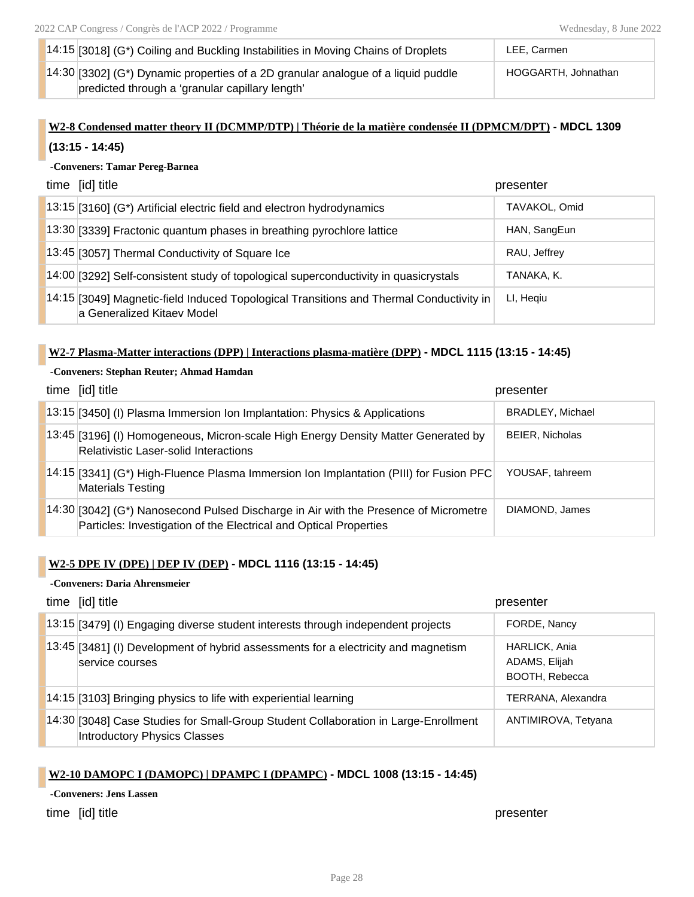| 14:15 [3018] ( $G^*$ ) Coiling and Buckling Instabilities in Moving Chains of Droplets | LEE. Carmen         |
|----------------------------------------------------------------------------------------|---------------------|
| 14:30 [3302] (G*) Dynamic properties of a 2D granular analogue of a liquid puddle      | HOGGARTH, Johnathan |
| predicted through a 'granular capillary length'                                        |                     |

## **W2-8 Condensed matter theory II (DCMMP/DTP) | Théorie de la matière condensée II (DPMCM/DPT) - MDCL 1309 (13:15 - 14:45)**

### **-Conveners: Tamar Pereg-Barnea**

| time [id] title                                                                                                       | presenter     |
|-----------------------------------------------------------------------------------------------------------------------|---------------|
| $13:15$ [3160] (G*) Artificial electric field and electron hydrodynamics                                              | TAVAKOL, Omid |
| 13:30 [3339] Fractonic quantum phases in breathing pyrochlore lattice                                                 | HAN, SangEun  |
| 13:45 [3057] Thermal Conductivity of Square Ice                                                                       | RAU, Jeffrey  |
| 14:00 [3292] Self-consistent study of topological superconductivity in quasicrystals                                  | TANAKA, K.    |
| 14:15 [3049] Magnetic-field Induced Topological Transitions and Thermal Conductivity in<br>a Generalized Kitaev Model | LI, Hegiu     |

### **W2-7 Plasma-Matter interactions (DPP) | Interactions plasma-matière (DPP) - MDCL 1115 (13:15 - 14:45)**

### **-Conveners: Stephan Reuter; Ahmad Hamdan**

| time [id] title                                                                                                                                           | presenter               |
|-----------------------------------------------------------------------------------------------------------------------------------------------------------|-------------------------|
| 13:15 [3450] (I) Plasma Immersion Ion Implantation: Physics & Applications                                                                                | <b>BRADLEY, Michael</b> |
| 13:45 [3196] (I) Homogeneous, Micron-scale High Energy Density Matter Generated by<br>Relativistic Laser-solid Interactions                               | <b>BEIER, Nicholas</b>  |
| 14:15 [3341] (G*) High-Fluence Plasma Immersion Ion Implantation (PIII) for Fusion PFC<br><b>Materials Testing</b>                                        | YOUSAF, tahreem         |
| 14:30 [3042] (G*) Nanosecond Pulsed Discharge in Air with the Presence of Micrometre<br>Particles: Investigation of the Electrical and Optical Properties | DIAMOND, James          |

### **W2-5 DPE IV (DPE) | DEP IV (DEP) - MDCL 1116 (13:15 - 14:45)**

### **-Conveners: Daria Ahrensmeier**

| time [id] title                                                                                                     | presenter                                        |
|---------------------------------------------------------------------------------------------------------------------|--------------------------------------------------|
| 13:15 [3479] (I) Engaging diverse student interests through independent projects                                    | FORDE, Nancy                                     |
| 13:45 [3481] (I) Development of hybrid assessments for a electricity and magnetism<br>service courses               | HARLICK, Ania<br>ADAMS, Elijah<br>BOOTH, Rebecca |
| 14:15 [3103] Bringing physics to life with experiential learning                                                    | TERRANA, Alexandra                               |
| 14:30 [3048] Case Studies for Small-Group Student Collaboration in Large-Enrollment<br>Introductory Physics Classes | ANTIMIROVA, Tetyana                              |

### **W2-10 DAMOPC I (DAMOPC) | DPAMPC I (DPAMPC) - MDCL 1008 (13:15 - 14:45)**

### **-Conveners: Jens Lassen**

time [id] title **presenter**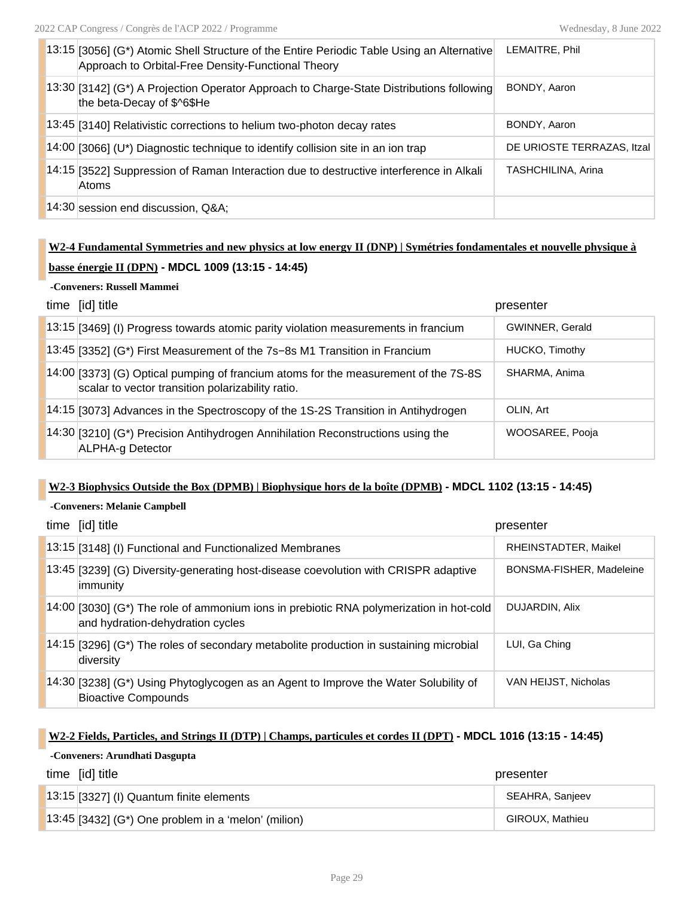| 13:15 [3056] (G*) Atomic Shell Structure of the Entire Periodic Table Using an Alternative<br>Approach to Orbital-Free Density-Functional Theory | LEMAITRE, Phil             |
|--------------------------------------------------------------------------------------------------------------------------------------------------|----------------------------|
| [13:30 [3142] (G*) A Projection Operator Approach to Charge-State Distributions following<br>the beta-Decay of \$^6\$He                          | BONDY, Aaron               |
| $13:45$ [3140] Relativistic corrections to helium two-photon decay rates                                                                         | BONDY, Aaron               |
| $14:00$ [3066] (U*) Diagnostic technique to identify collision site in an ion trap                                                               | DE URIOSTE TERRAZAS, Itzal |
| 14:15 [3522] Suppression of Raman Interaction due to destructive interference in Alkali<br>Atoms                                                 | TASHCHILINA, Arina         |
| 14:30 session end discussion, Q&A                                                                                                                |                            |

## **W2-4 Fundamental Symmetries and new physics at low energy II (DNP) | Symétries fondamentales et nouvelle physique à basse énergie II (DPN) - MDCL 1009 (13:15 - 14:45)**

### **-Conveners: Russell Mammei**

| time [id] title                                                                                                                           | presenter       |
|-------------------------------------------------------------------------------------------------------------------------------------------|-----------------|
| 13:15 [3469] (I) Progress towards atomic parity violation measurements in francium                                                        | GWINNER, Gerald |
| $13:45$ [3352] (G*) First Measurement of the 7s-8s M1 Transition in Francium                                                              | HUCKO, Timothy  |
| [14:00 [3373] (G) Optical pumping of francium atoms for the measurement of the 7S-8S<br>scalar to vector transition polarizability ratio. | SHARMA, Anima   |
| 14:15 [3073] Advances in the Spectroscopy of the 1S-2S Transition in Antihydrogen                                                         | OLIN, Art       |
| 14:30 [3210] (G*) Precision Antihydrogen Annihilation Reconstructions using the<br>ALPHA-g Detector                                       | WOOSAREE, Pooja |

### **W2-3 Biophysics Outside the Box (DPMB) | Biophysique hors de la boîte (DPMB) - MDCL 1102 (13:15 - 14:45)**

### **-Conveners: Melanie Campbell**

| time [id] title                                                                                                                   | presenter                |
|-----------------------------------------------------------------------------------------------------------------------------------|--------------------------|
| 13:15 [3148] (I) Functional and Functionalized Membranes                                                                          | RHEINSTADTER, Maikel     |
| 13:45 [3239] (G) Diversity-generating host-disease coevolution with CRISPR adaptive<br>immunity                                   | BONSMA-FISHER, Madeleine |
| $[14:00]$ [3030] (G*) The role of ammonium ions in prebiotic RNA polymerization in hot-cold<br>and hydration-dehydration cycles   | DUJARDIN, Alix           |
| $14:15$ [3296] (G*) The roles of secondary metabolite production in sustaining microbial<br>diversity                             | LUI, Ga Ching            |
| $\vert$ 14:30 $\vert$ 3238] (G*) Using Phytoglycogen as an Agent to Improve the Water Solubility of<br><b>Bioactive Compounds</b> | VAN HEIJST, Nicholas     |

### **W2-2 Fields, Particles, and Strings II (DTP) | Champs, particules et cordes II (DPT) - MDCL 1016 (13:15 - 14:45)**

### **-Conveners: Arundhati Dasgupta**

| time [id] title                                                   | presenter       |
|-------------------------------------------------------------------|-----------------|
| $13:15$ [3327] (I) Quantum finite elements                        | SEAHRA, Sanjeev |
| $\left[3.45\right]$ [3432] (G*) One problem in a 'melon' (milion) | GIROUX, Mathieu |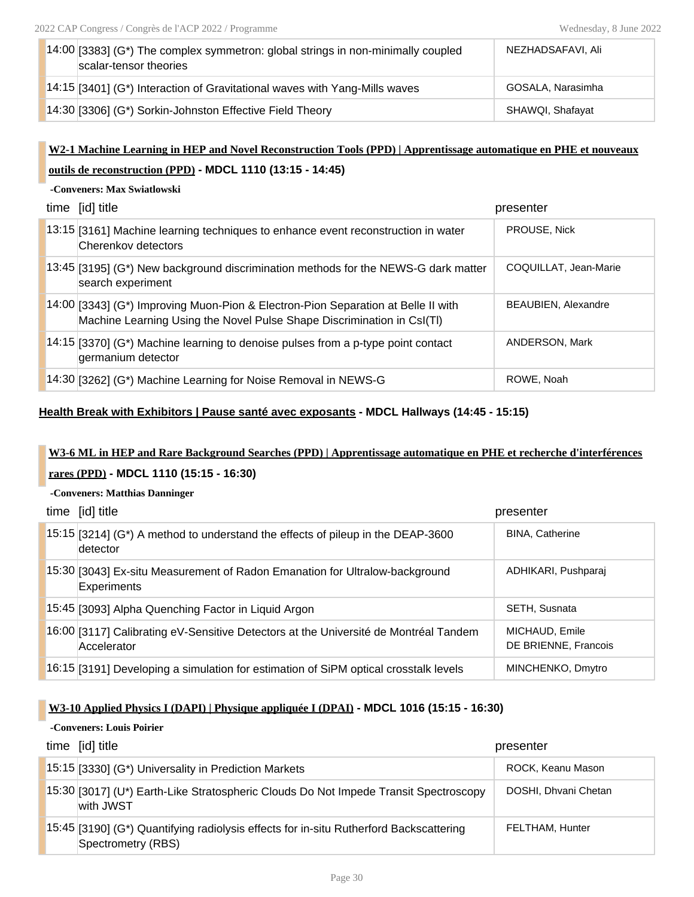| $14:00$ [3383] (G*) The complex symmetron: global strings in non-minimally coupled<br>scalar-tensor theories | NEZHADSAFAVI, Ali |
|--------------------------------------------------------------------------------------------------------------|-------------------|
| $14:15$ [3401] (G*) Interaction of Gravitational waves with Yang-Mills waves                                 | GOSALA, Narasimha |
| 14:30 [3306] (G*) Sorkin-Johnston Effective Field Theory                                                     | SHAWOI, Shafayat  |

## **W2-1 Machine Learning in HEP and Novel Reconstruction Tools (PPD) | Apprentissage automatique en PHE et nouveaux outils de reconstruction (PPD) - MDCL 1110 (13:15 - 14:45)**

### **-Conveners: Max Swiatlowski**

| time [id] title                                                                                                                                             | presenter                  |
|-------------------------------------------------------------------------------------------------------------------------------------------------------------|----------------------------|
| 13:15 [3161] Machine learning techniques to enhance event reconstruction in water<br>Cherenkov detectors                                                    | PROUSE, Nick               |
| 13:45 [3195] (G*) New background discrimination methods for the NEWS-G dark matter<br>search experiment                                                     | COQUILLAT, Jean-Marie      |
| 14:00 [3343] (G*) Improving Muon-Pion & Electron-Pion Separation at Belle II with<br>Machine Learning Using the Novel Pulse Shape Discrimination in CsI(TI) | <b>BEAUBIEN, Alexandre</b> |
| $14:15$ [3370] (G*) Machine learning to denoise pulses from a p-type point contact<br>germanium detector                                                    | ANDERSON, Mark             |
| 14:30 [3262] (G*) Machine Learning for Noise Removal in NEWS-G                                                                                              | ROWE, Noah                 |

### **Health Break with Exhibitors | Pause santé avec exposants - MDCL Hallways (14:45 - 15:15)**

## **W3-6 ML in HEP and Rare Background Searches (PPD) | Apprentissage automatique en PHE et recherche d'interférences rares (PPD) - MDCL 1110 (15:15 - 16:30)**

#### **-Conveners: Matthias Danninger**

| time [id] title                                                                                     | presenter                              |
|-----------------------------------------------------------------------------------------------------|----------------------------------------|
| 15:15 [3214] (G*) A method to understand the effects of pileup in the DEAP-3600<br>detector         | <b>BINA, Catherine</b>                 |
| 15:30 [3043] Ex-situ Measurement of Radon Emanation for Ultralow-background<br><b>Experiments</b>   | ADHIKARI, Pushparaj                    |
| 15:45 [3093] Alpha Quenching Factor in Liquid Argon                                                 | <b>SETH, Susnata</b>                   |
| 16:00 [3117] Calibrating eV-Sensitive Detectors at the Université de Montréal Tandem<br>Accelerator | MICHAUD, Emile<br>DE BRIENNE, Francois |
| 16:15 [3191] Developing a simulation for estimation of SiPM optical crosstalk levels                | MINCHENKO, Dmytro                      |

### **W3-10 Applied Physics I (DAPI) | Physique appliquée I (DPAI) - MDCL 1016 (15:15 - 16:30)**

### **-Conveners: Louis Poirier**

| time [id] title                                                                                              | presenter            |
|--------------------------------------------------------------------------------------------------------------|----------------------|
| 15:15 [3330] (G*) Universality in Prediction Markets                                                         | ROCK, Keanu Mason    |
| 15:30 [3017] (U*) Earth-Like Stratospheric Clouds Do Not Impede Transit Spectroscopy<br>with JWST            | DOSHI, Dhvani Chetan |
| 15:45 [3190] (G*) Quantifying radiolysis effects for in-situ Rutherford Backscattering<br>Spectrometry (RBS) | FELTHAM, Hunter      |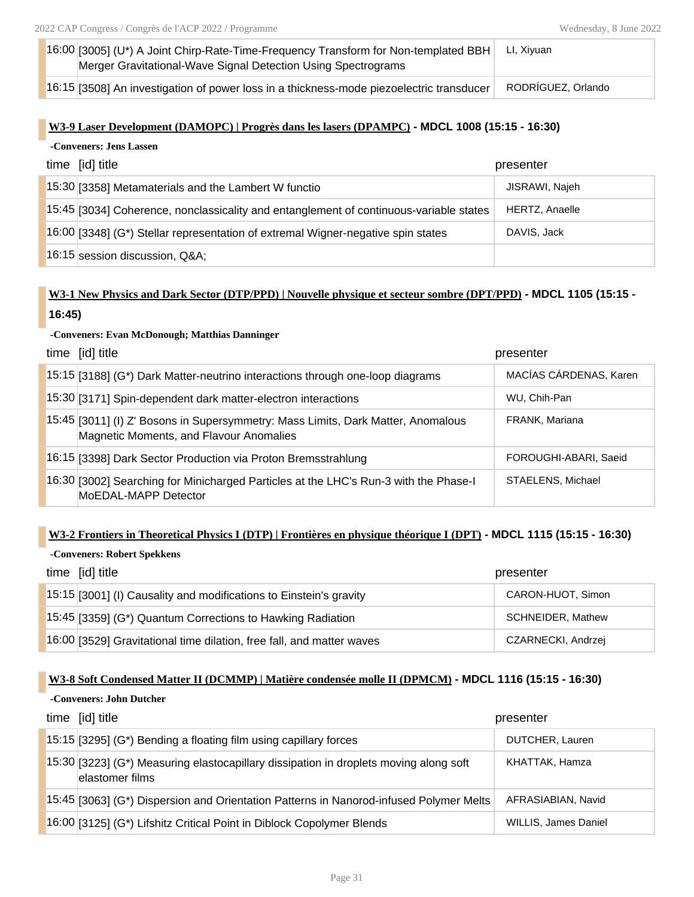| $16:00$ [3005] (U*) A Joint Chirp-Rate-Time-Frequency Transform for Non-templated BBH    | LI, Xiyuan         |
|------------------------------------------------------------------------------------------|--------------------|
| Merger Gravitational-Wave Signal Detection Using Spectrograms                            |                    |
| 16:15 [3508] An investigation of power loss in a thickness-mode piezoelectric transducer | RODRÍGUEZ, Orlando |

### **W3-9 Laser Development (DAMOPC) | Progrès dans les lasers (DPAMPC) - MDCL 1008 (15:15 - 16:30)**

| -Conveners: Jens Lassen |  |  |
|-------------------------|--|--|
|-------------------------|--|--|

| time [id] title                                                                        | presenter      |
|----------------------------------------------------------------------------------------|----------------|
| 15:30 [3358] Metamaterials and the Lambert W functio                                   | JISRAWI, Najeh |
| 15:45 [3034] Coherence, nonclassicality and entanglement of continuous-variable states | HERTZ, Anaelle |
| 16:00 [3348] (G*) Stellar representation of extremal Wigner-negative spin states       | DAVIS, Jack    |
| 16:15 session discussion, Q&A                                                          |                |

## **W3-1 New Physics and Dark Sector (DTP/PPD) | Nouvelle physique et secteur sombre (DPT/PPD) - MDCL 1105 (15:15 -**

### **16:45)**

### **-Conveners: Evan McDonough; Matthias Danninger**

| time [id] title                                                                                                             | presenter              |
|-----------------------------------------------------------------------------------------------------------------------------|------------------------|
| $15:15$ [3188] (G*) Dark Matter-neutrino interactions through one-loop diagrams                                             | MACÍAS CÁRDENAS, Karen |
| 15:30 [3171] Spin-dependent dark matter-electron interactions                                                               | WU, Chih-Pan           |
| 15:45 [3011] (I) Z' Bosons in Supersymmetry: Mass Limits, Dark Matter, Anomalous<br>Magnetic Moments, and Flavour Anomalies | FRANK, Mariana         |
| 16:15 [3398] Dark Sector Production via Proton Bremsstrahlung                                                               | FOROUGHI-ABARI, Saeid  |
| 16:30 [3002] Searching for Minicharged Particles at the LHC's Run-3 with the Phase-I<br>MoEDAL-MAPP Detector                | STAELENS, Michael      |

### **W3-2 Frontiers in Theoretical Physics I (DTP) | Frontières en physique théorique I (DPT) - MDCL 1115 (15:15 - 16:30)**

## **-Conveners: Robert Spekkens** time [id] title presenter 15:15 [3001] (I) Causality and modifications to Einstein's gravity Fig. 2015 [CARON-HUOT, Simon 15:45 [3359] (G\*) Quantum Corrections to Hawking Radiation SCHNEIDER, Mathew 16:00 [3529] Gravitational time dilation, free fall, and matter waves CZARNECKI, Andrzej

### **W3-8 Soft Condensed Matter II (DCMMP) | Matière condensée molle II (DPMCM) - MDCL 1116 (15:15 - 16:30)**

#### **-Conveners: John Dutcher**

| time [id] title                                                                                           | presenter                   |
|-----------------------------------------------------------------------------------------------------------|-----------------------------|
| $\vert$ 15:15 [3295] (G*) Bending a floating film using capillary forces                                  | DUTCHER, Lauren             |
| 15:30 [3223] (G*) Measuring elastocapillary dissipation in droplets moving along soft<br>lelastomer films | KHATTAK, Hamza              |
| 15:45 [3063] (G*) Dispersion and Orientation Patterns in Nanorod-infused Polymer Melts                    | AFRASIABIAN, Navid          |
| 16:00 [3125] (G*) Lifshitz Critical Point in Diblock Copolymer Blends                                     | <b>WILLIS, James Daniel</b> |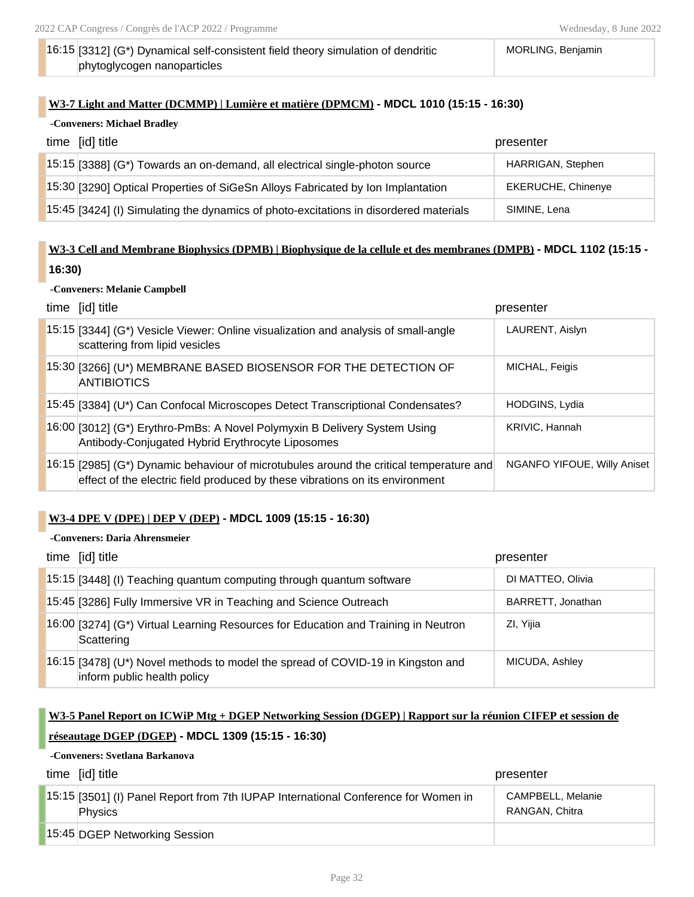MORLING, Benjamin

### 16:15 [3312] (G\*) Dynamical self-consistent field theory simulation of dendritic phytoglycogen nanoparticles

### **W3-7 Light and Matter (DCMMP) | Lumière et matière (DPMCM) - MDCL 1010 (15:15 - 16:30)**

| -Conveners: Michael Bradley |                                                                                       |                           |
|-----------------------------|---------------------------------------------------------------------------------------|---------------------------|
|                             | time [id] title                                                                       | presenter                 |
|                             | 15:15 [3388] (G*) Towards an on-demand, all electrical single-photon source           | <b>HARRIGAN, Stephen</b>  |
|                             | 15:30 [3290] Optical Properties of SiGeSn Alloys Fabricated by Ion Implantation       | <b>EKERUCHE, Chinenye</b> |
|                             | 15:45 [3424] (I) Simulating the dynamics of photo-excitations in disordered materials | SIMINE, Lena              |

## **W3-3 Cell and Membrane Biophysics (DPMB) | Biophysique de la cellule et des membranes (DMPB) - MDCL 1102 (15:15 - 16:30)**

### **-Conveners: Melanie Campbell**

| time [id] title                                                                                                                                                           | presenter                          |
|---------------------------------------------------------------------------------------------------------------------------------------------------------------------------|------------------------------------|
| 15:15 [3344] (G*) Vesicle Viewer: Online visualization and analysis of small-angle<br>scattering from lipid vesicles                                                      | LAURENT, Aislyn                    |
| 15:30 [3266] (U*) MEMBRANE BASED BIOSENSOR FOR THE DETECTION OF<br><b>ANTIBIOTICS</b>                                                                                     | MICHAL, Feigis                     |
| 15:45 [3384] (U*) Can Confocal Microscopes Detect Transcriptional Condensates?                                                                                            | <b>HODGINS, Lydia</b>              |
| 16:00 [3012] (G*) Erythro-PmBs: A Novel Polymyxin B Delivery System Using<br>Antibody-Conjugated Hybrid Erythrocyte Liposomes                                             | KRIVIC, Hannah                     |
| $16:15$ [2985] (G*) Dynamic behaviour of microtubules around the critical temperature and<br>effect of the electric field produced by these vibrations on its environment | <b>NGANFO YIFOUE, Willy Aniset</b> |

### **W3-4 DPE V (DPE) | DEP V (DEP) - MDCL 1009 (15:15 - 16:30)**

### **-Conveners: Daria Ahrensmeier**

| time [id] title                                                                                                | presenter         |
|----------------------------------------------------------------------------------------------------------------|-------------------|
| 15:15 [3448] (I) Teaching quantum computing through quantum software                                           | DI MATTEO, Olivia |
| 15:45 [3286] Fully Immersive VR in Teaching and Science Outreach                                               | BARRETT, Jonathan |
| $16:00$ [3274] (G*) Virtual Learning Resources for Education and Training in Neutron<br>Scattering             | ZI, Yijia         |
| 16:15 [3478] (U*) Novel methods to model the spread of COVID-19 in Kingston and<br>inform public health policy | MICUDA, Ashley    |

### **W3-5 Panel Report on ICWiP Mtg + DGEP Networking Session (DGEP) | Rapport sur la réunion CIFEP et session de**

### **réseautage DGEP (DGEP) - MDCL 1309 (15:15 - 16:30)**

### **-Conveners: Svetlana Barkanova**

| time [id] title                                                                                      | presenter                           |
|------------------------------------------------------------------------------------------------------|-------------------------------------|
| 15:15 [3501] (I) Panel Report from 7th IUPAP International Conference for Women in<br><b>Physics</b> | CAMPBELL, Melanie<br>RANGAN, Chitra |
| 15:45 DGEP Networking Session                                                                        |                                     |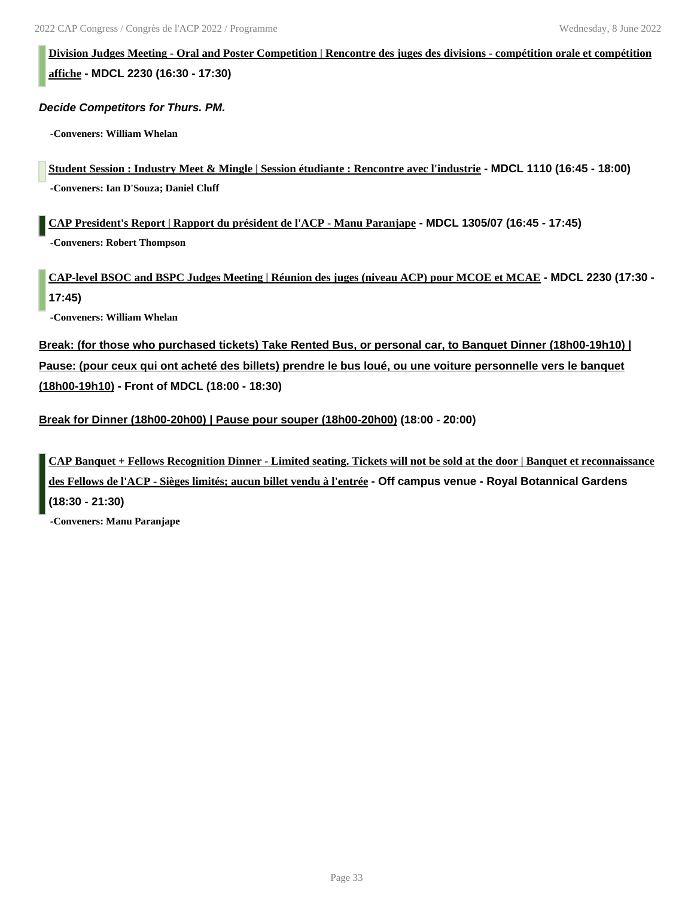**Division Judges Meeting - Oral and Poster Competition | Rencontre des juges des divisions - compétition orale et compétition affiche - MDCL 2230 (16:30 - 17:30)**

*Decide Competitors for Thurs. PM.*

**-Conveners: William Whelan**

**Student Session : Industry Meet & Mingle | Session étudiante : Rencontre avec l'industrie - MDCL 1110 (16:45 - 18:00) -Conveners: Ian D'Souza; Daniel Cluff**

**CAP President's Report | Rapport du président de l'ACP - Manu Paranjape - MDCL 1305/07 (16:45 - 17:45) -Conveners: Robert Thompson**

**CAP-level BSOC and BSPC Judges Meeting | Réunion des juges (niveau ACP) pour MCOE et MCAE - MDCL 2230 (17:30 - 17:45)**

**-Conveners: William Whelan**

**Break: (for those who purchased tickets) Take Rented Bus, or personal car, to Banquet Dinner (18h00-19h10) | Pause: (pour ceux qui ont acheté des billets) prendre le bus loué, ou une voiture personnelle vers le banquet (18h00-19h10) - Front of MDCL (18:00 - 18:30)**

**Break for Dinner (18h00-20h00) | Pause pour souper (18h00-20h00) (18:00 - 20:00)**

**CAP Banquet + Fellows Recognition Dinner - Limited seating. Tickets will not be sold at the door | Banquet et reconnaissance des Fellows de l'ACP - Sièges limités; aucun billet vendu à l'entrée - Off campus venue - Royal Botannical Gardens (18:30 - 21:30)**

**-Conveners: Manu Paranjape**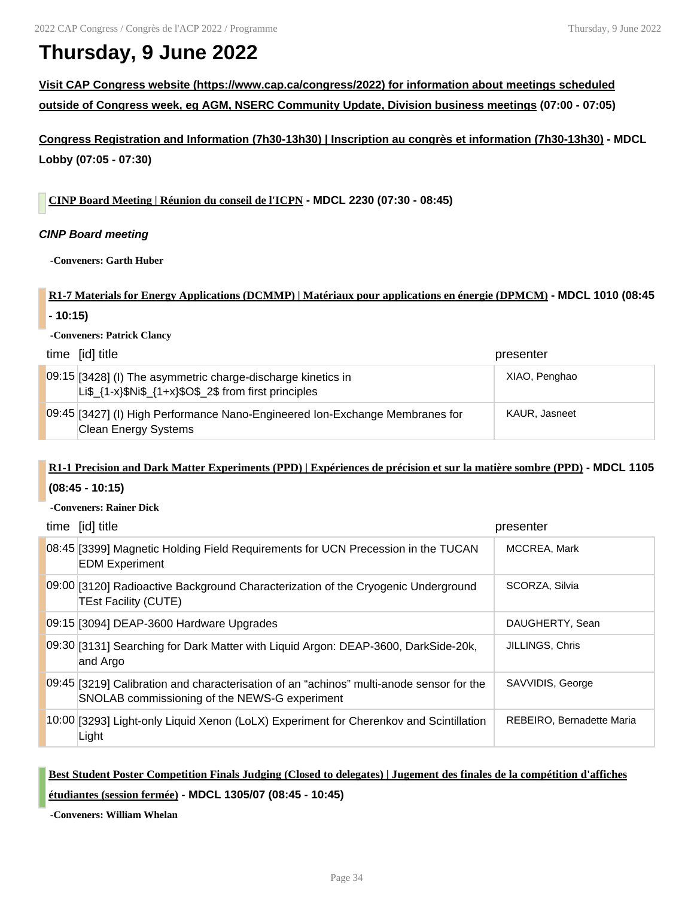# **Thursday, 9 June 2022**

**Visit CAP Congress website (https://www.cap.ca/congress/2022) for information about meetings scheduled outside of Congress week, eg AGM, NSERC Community Update, Division business meetings (07:00 - 07:05)**

**Congress Registration and Information (7h30-13h30) | Inscription au congrès et information (7h30-13h30) - MDCL Lobby (07:05 - 07:30)**

**CINP Board Meeting | Réunion du conseil de l'ICPN - MDCL 2230 (07:30 - 08:45)**

### *CINP Board meeting*

**-Conveners: Garth Huber**

### **R1-7 Materials for Energy Applications (DCMMP) | Matériaux pour applications en énergie (DPMCM) - MDCL 1010 (08:45**

**- 10:15)**

**-Conveners: Patrick Clancy**

| time [id] title                                                                                                                 | presenter     |
|---------------------------------------------------------------------------------------------------------------------------------|---------------|
| 09:15 [3428] (I) The asymmetric charge-discharge kinetics in<br>Li\$ $\{1-x\}$ \$Ni\$ $\{1+x\}$ \$O\$ 2\$ from first principles | XIAO, Penghao |
| 09:45 [3427] (I) High Performance Nano-Engineered Ion-Exchange Membranes for<br>Clean Energy Systems                            | KAUR, Jasneet |

## **R1-1 Precision and Dark Matter Experiments (PPD) | Expériences de précision et sur la matière sombre (PPD) - MDCL 1105 (08:45 - 10:15)**

**-Conveners: Rainer Dick**

| time [id] title                                                                                                                           | presenter                 |
|-------------------------------------------------------------------------------------------------------------------------------------------|---------------------------|
| 08:45 [3399] Magnetic Holding Field Requirements for UCN Precession in the TUCAN<br><b>EDM Experiment</b>                                 | MCCREA, Mark              |
| 09:00 [3120] Radioactive Background Characterization of the Cryogenic Underground<br><b>TEst Facility (CUTE)</b>                          | SCORZA, Silvia            |
| 09:15 [3094] DEAP-3600 Hardware Upgrades                                                                                                  | DAUGHERTY, Sean           |
| 09:30 [3131] Searching for Dark Matter with Liquid Argon: DEAP-3600, DarkSide-20k,<br>and Argo                                            | <b>JILLINGS, Chris</b>    |
| 09:45 [3219] Calibration and characterisation of an "achinos" multi-anode sensor for the<br>SNOLAB commissioning of the NEWS-G experiment | SAVVIDIS, George          |
| 10:00 [3293] Light-only Liquid Xenon (LoLX) Experiment for Cherenkov and Scintillation<br>Light                                           | REBEIRO, Bernadette Maria |

### **Best Student Poster Competition Finals Judging (Closed to delegates) | Jugement des finales de la compétition d'affiches**

**étudiantes (session fermée) - MDCL 1305/07 (08:45 - 10:45)**

**-Conveners: William Whelan**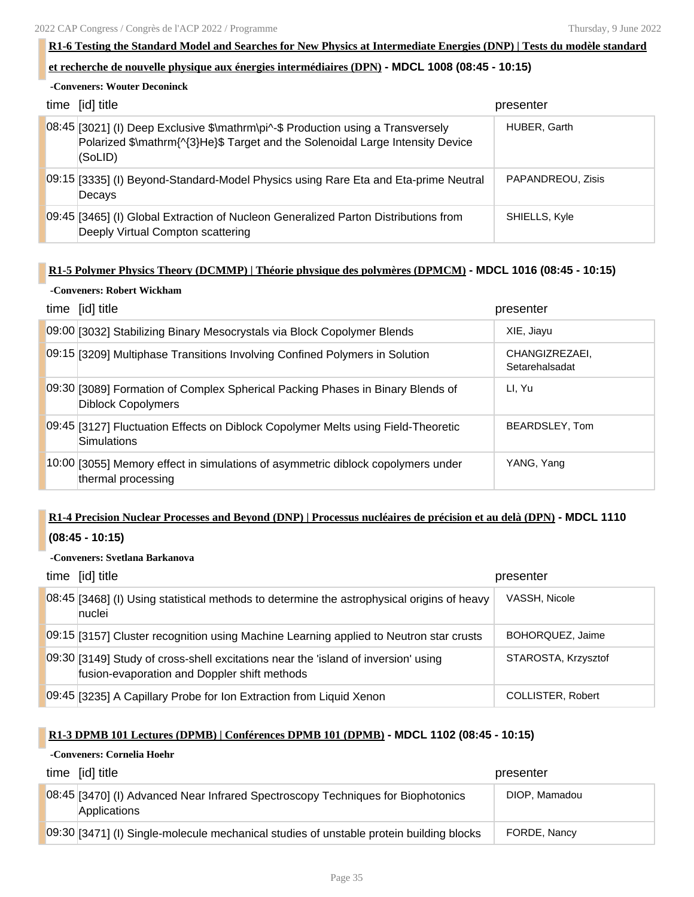### **R1-6 Testing the Standard Model and Searches for New Physics at Intermediate Energies (DNP) | Tests du modèle standard**

### **et recherche de nouvelle physique aux énergies intermédiaires (DPN) - MDCL 1008 (08:45 - 10:15)**

### **-Conveners: Wouter Deconinck**

| time [id] title                                                                                                                                                               | presenter         |
|-------------------------------------------------------------------------------------------------------------------------------------------------------------------------------|-------------------|
| 08:45 [3021] (I) Deep Exclusive \$\mathrm\pi^-\$ Production using a Transversely<br>Polarized \$\mathrm{^{3}He}\$ Target and the Solenoidal Large Intensity Device<br>(SoLID) | HUBER, Garth      |
| 09:15 [3335] (I) Beyond-Standard-Model Physics using Rare Eta and Eta-prime Neutral<br>Decays                                                                                 | PAPANDREOU, Zisis |
| 09:45 [3465] (I) Global Extraction of Nucleon Generalized Parton Distributions from<br>Deeply Virtual Compton scattering                                                      | SHIELLS, Kyle     |

### **R1-5 Polymer Physics Theory (DCMMP) | Théorie physique des polymères (DPMCM) - MDCL 1016 (08:45 - 10:15)**

### **-Conveners: Robert Wickham**

| time [id] title                                                                                             | presenter                        |
|-------------------------------------------------------------------------------------------------------------|----------------------------------|
| 09:00 [3032] Stabilizing Binary Mesocrystals via Block Copolymer Blends                                     | XIE, Jiayu                       |
| 09:15 [3209] Multiphase Transitions Involving Confined Polymers in Solution                                 | CHANGIZREZAEI.<br>Setarehalsadat |
| 09:30 [3089] Formation of Complex Spherical Packing Phases in Binary Blends of<br><b>Diblock Copolymers</b> | LI, Yu                           |
| 09:45 [3127] Fluctuation Effects on Diblock Copolymer Melts using Field-Theoretic<br>Simulations            | BEARDSLEY, Tom                   |
| 10:00 [3055] Memory effect in simulations of asymmetric diblock copolymers under<br>thermal processing      | YANG, Yang                       |

# **R1-4 Precision Nuclear Processes and Beyond (DNP) | Processus nucléaires de précision et au delà (DPN) - MDCL 1110**

### **(08:45 - 10:15)**

### **-Conveners: Svetlana Barkanova**

| time [id] title                                                                                                                    | presenter           |
|------------------------------------------------------------------------------------------------------------------------------------|---------------------|
| 08:45 [3468] (I) Using statistical methods to determine the astrophysical origins of heavy<br>nuclei                               | VASSH, Nicole       |
| 09:15 [3157] Cluster recognition using Machine Learning applied to Neutron star crusts                                             | BOHOROUEZ, Jaime    |
| 09:30 [3149] Study of cross-shell excitations near the 'island of inversion' using<br>fusion-evaporation and Doppler shift methods | STAROSTA, Krzysztof |
| 09:45 [3235] A Capillary Probe for Ion Extraction from Liquid Xenon                                                                | COLLISTER, Robert   |

### **R1-3 DPMB 101 Lectures (DPMB) | Conférences DPMB 101 (DPMB) - MDCL 1102 (08:45 - 10:15)**

### **-Conveners: Cornelia Hoehr**

| time [id] title                                                                                  | presenter     |
|--------------------------------------------------------------------------------------------------|---------------|
| 08:45 [3470] (I) Advanced Near Infrared Spectroscopy Techniques for Biophotonics<br>Applications | DIOP, Mamadou |
| 09:30 [3471] (I) Single-molecule mechanical studies of unstable protein building blocks          | FORDE, Nancy  |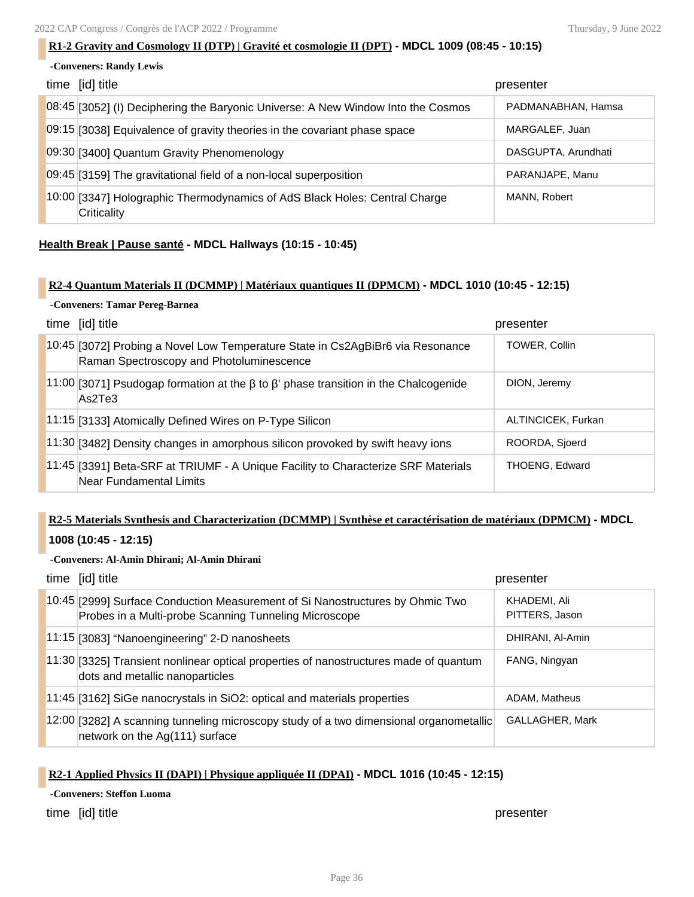### **R1-2 Gravity and Cosmology II (DTP) | Gravité et cosmologie II (DPT) - MDCL 1009 (08:45 - 10:15)**

| -Conveners: Randy Lewis |                                                                                           |                     |
|-------------------------|-------------------------------------------------------------------------------------------|---------------------|
|                         | time [id] title                                                                           | presenter           |
|                         | 08:45 [3052] (I) Deciphering the Baryonic Universe: A New Window Into the Cosmos          | PADMANABHAN, Hamsa  |
|                         | 09:15 [3038] Equivalence of gravity theories in the covariant phase space                 | MARGALEF, Juan      |
|                         | 09:30 [3400] Quantum Gravity Phenomenology                                                | DASGUPTA, Arundhati |
|                         | 09:45 [3159] The gravitational field of a non-local superposition                         | PARANJAPE, Manu     |
|                         | 10:00 [3347] Holographic Thermodynamics of AdS Black Holes: Central Charge<br>Criticality | MANN, Robert        |

### **Health Break | Pause santé - MDCL Hallways (10:15 - 10:45)**

### **R2-4 Quantum Materials II (DCMMP) | Matériaux quantiques II (DPMCM) - MDCL 1010 (10:45 - 12:15)**

### **-Conveners: Tamar Pereg-Barnea**

| time [id] title                                                                                                            | presenter             |
|----------------------------------------------------------------------------------------------------------------------------|-----------------------|
| 10:45 [3072] Probing a Novel Low Temperature State in Cs2AgBiBr6 via Resonance<br>Raman Spectroscopy and Photoluminescence | <b>TOWER, Collin</b>  |
| 11:00 [3071] Psudogap formation at the β to β' phase transition in the Chalcogenide<br>As2Te3                              | DION, Jeremy          |
| 11:15 [3133] Atomically Defined Wires on P-Type Silicon                                                                    | ALTINCICEK, Furkan    |
| 11:30 [3482] Density changes in amorphous silicon provoked by swift heavy ions                                             | ROORDA, Sjoerd        |
| 11:45 [3391] Beta-SRF at TRIUMF - A Unique Facility to Characterize SRF Materials<br>Near Fundamental Limits               | <b>THOENG, Edward</b> |

## **R2-5 Materials Synthesis and Characterization (DCMMP) | Synthèse et caractérisation de matériaux (DPMCM) - MDCL**

### **1008 (10:45 - 12:15)**

### **-Conveners: Al-Amin Dhirani; Al-Amin Dhirani**

| time [id] title                                                                                                                        | presenter                      |
|----------------------------------------------------------------------------------------------------------------------------------------|--------------------------------|
| 10:45 [2999] Surface Conduction Measurement of Si Nanostructures by Ohmic Two<br>Probes in a Multi-probe Scanning Tunneling Microscope | KHADEMI, Ali<br>PITTERS, Jason |
| 11:15 [3083] "Nanoengineering" 2-D nanosheets                                                                                          | DHIRANI, Al-Amin               |
| 11:30 [3325] Transient nonlinear optical properties of nanostructures made of quantum<br>dots and metallic nanoparticles               | FANG, Ningyan                  |
| 11:45 [3162] SiGe nanocrystals in SiO2: optical and materials properties                                                               | ADAM, Matheus                  |
| 12:00 [3282] A scanning tunneling microscopy study of a two dimensional organometallic<br>network on the Ag(111) surface               | GALLAGHER, Mark                |

### **R2-1 Applied Physics II (DAPI) | Physique appliquée II (DPAI) - MDCL 1016 (10:45 - 12:15)**

**-Conveners: Steffon Luoma**

time [id] title **presenter**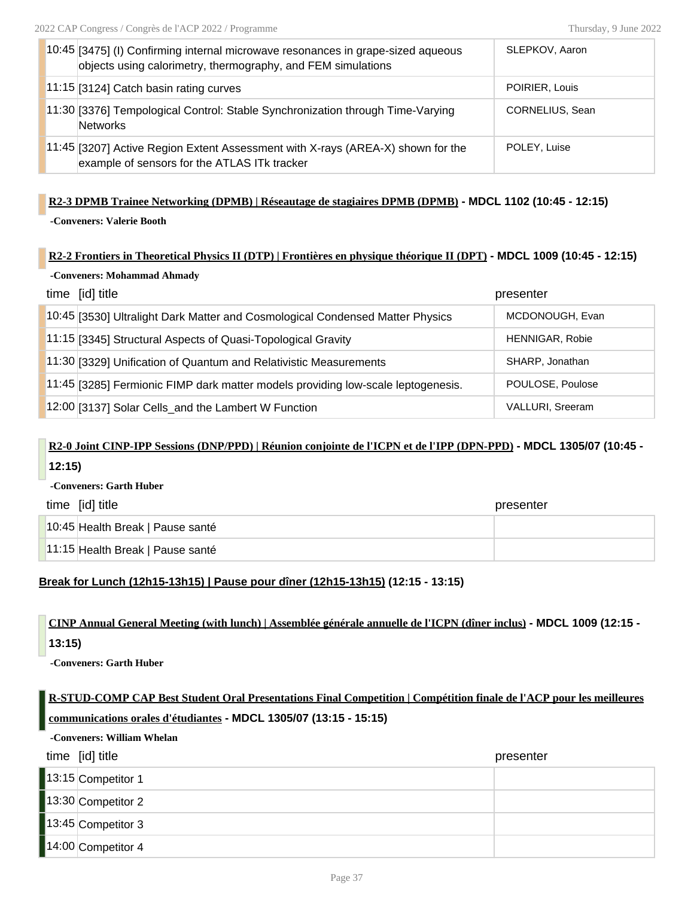| 10:45 [3475] (I) Confirming internal microwave resonances in grape-sized aqueous<br>objects using calorimetry, thermography, and FEM simulations | SLEPKOV, Aaron  |
|--------------------------------------------------------------------------------------------------------------------------------------------------|-----------------|
| 11:15 [3124] Catch basin rating curves                                                                                                           | POIRIER, Louis  |
| 11:30 [3376] Tempological Control: Stable Synchronization through Time-Varying<br>Networks                                                       | CORNELIUS, Sean |
| 11:45 [3207] Active Region Extent Assessment with X-rays (AREA-X) shown for the<br>example of sensors for the ATLAS ITk tracker                  | POLEY, Luise    |

### **R2-3 DPMB Trainee Networking (DPMB) | Réseautage de stagiaires DPMB (DPMB) - MDCL 1102 (10:45 - 12:15)**

**-Conveners: Valerie Booth**

### **R2-2 Frontiers in Theoretical Physics II (DTP) | Frontières en physique théorique II (DPT) - MDCL 1009 (10:45 - 12:15)**

| -Conveners: Mohammad Ahmady                                                      |                         |  |
|----------------------------------------------------------------------------------|-------------------------|--|
| time [id] title                                                                  | presenter               |  |
| 10:45 [3530] Ultralight Dark Matter and Cosmological Condensed Matter Physics    | MCDONOUGH, Evan         |  |
| 11:15 [3345] Structural Aspects of Quasi-Topological Gravity                     | <b>HENNIGAR, Robie</b>  |  |
| 11:30 [3329] Unification of Quantum and Relativistic Measurements                | SHARP, Jonathan         |  |
| 11:45 [3285] Fermionic FIMP dark matter models providing low-scale leptogenesis. | POULOSE, Poulose        |  |
| 12:00 [3137] Solar Cells_and the Lambert W Function                              | <b>VALLURI, Sreeram</b> |  |

## **R2-0 Joint CINP-IPP Sessions (DNP/PPD) | Réunion conjointe de l'ICPN et de l'IPP (DPN-PPD) - MDCL 1305/07 (10:45 - 12:15)**

**-Conveners: Garth Huber**

| time [id] title                  | presenter |
|----------------------------------|-----------|
| 10:45 Health Break   Pause santé |           |
| 11:15 Health Break   Pause santé |           |

### **Break for Lunch (12h15-13h15) | Pause pour dîner (12h15-13h15) (12:15 - 13:15)**

## **CINP Annual General Meeting (with lunch) | Assemblée générale annuelle de l'ICPN (dîner inclus) - MDCL 1009 (12:15 - 13:15)**

**-Conveners: Garth Huber**

## **R-STUD-COMP CAP Best Student Oral Presentations Final Competition | Compétition finale de l'ACP pour les meilleures communications orales d'étudiantes - MDCL 1305/07 (13:15 - 15:15)**

**-Conveners: William Whelan**

# time [id] title **presenter** 13:15 Competitor 1 13:30 Competitor 2 13:45 Competitor 3 14:00 Competitor 4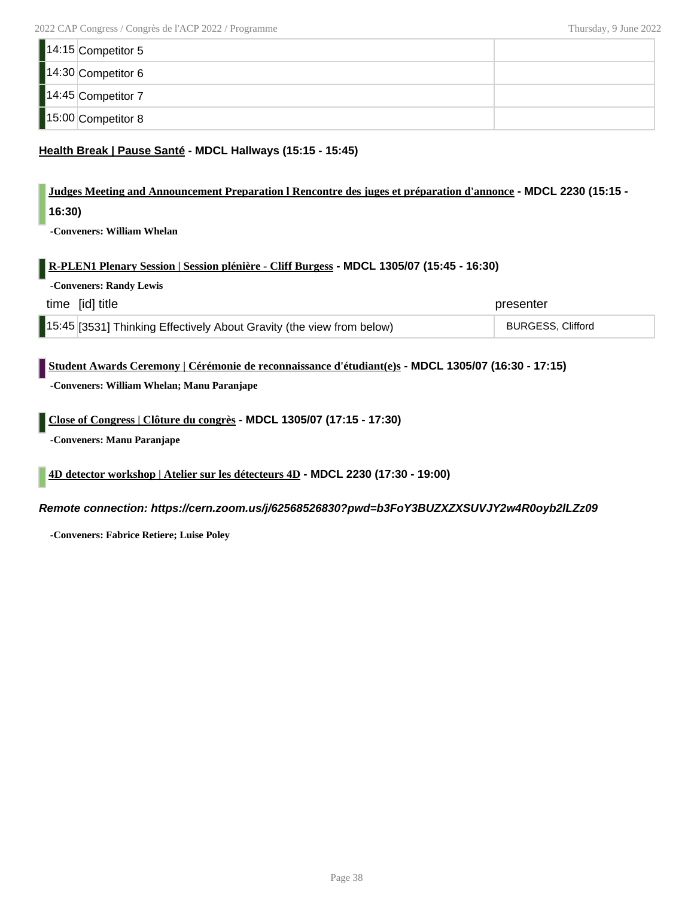| 14:15 Competitor 5 |  |
|--------------------|--|
| 14:30 Competitor 6 |  |
| 14:45 Competitor 7 |  |
| 15:00 Competitor 8 |  |

### **Health Break | Pause Santé - MDCL Hallways (15:15 - 15:45)**

# **Judges Meeting and Announcement Preparation l Rencontre des juges et préparation d'annonce - MDCL 2230 (15:15 -**

**16:30)**

**-Conveners: William Whelan**

### **R-PLEN1 Plenary Session | Session plénière - Cliff Burgess - MDCL 1305/07 (15:45 - 16:30)**

**-Conveners: Randy Lewis**

| time [id] title                                                        | presenter                |
|------------------------------------------------------------------------|--------------------------|
| [15:45 [3531] Thinking Effectively About Gravity (the view from below) | <b>BURGESS, Clifford</b> |

### **Student Awards Ceremony | Cérémonie de reconnaissance d'étudiant(e)s - MDCL 1305/07 (16:30 - 17:15)**

**-Conveners: William Whelan; Manu Paranjape**

### **Close of Congress | Clôture du congrès - MDCL 1305/07 (17:15 - 17:30)**

**-Conveners: Manu Paranjape**

### **4D detector workshop | Atelier sur les détecteurs 4D - MDCL 2230 (17:30 - 19:00)**

### *Remote connection: https://cern.zoom.us/j/62568526830?pwd=b3FoY3BUZXZXSUVJY2w4R0oyb2lLZz09*

**-Conveners: Fabrice Retiere; Luise Poley**